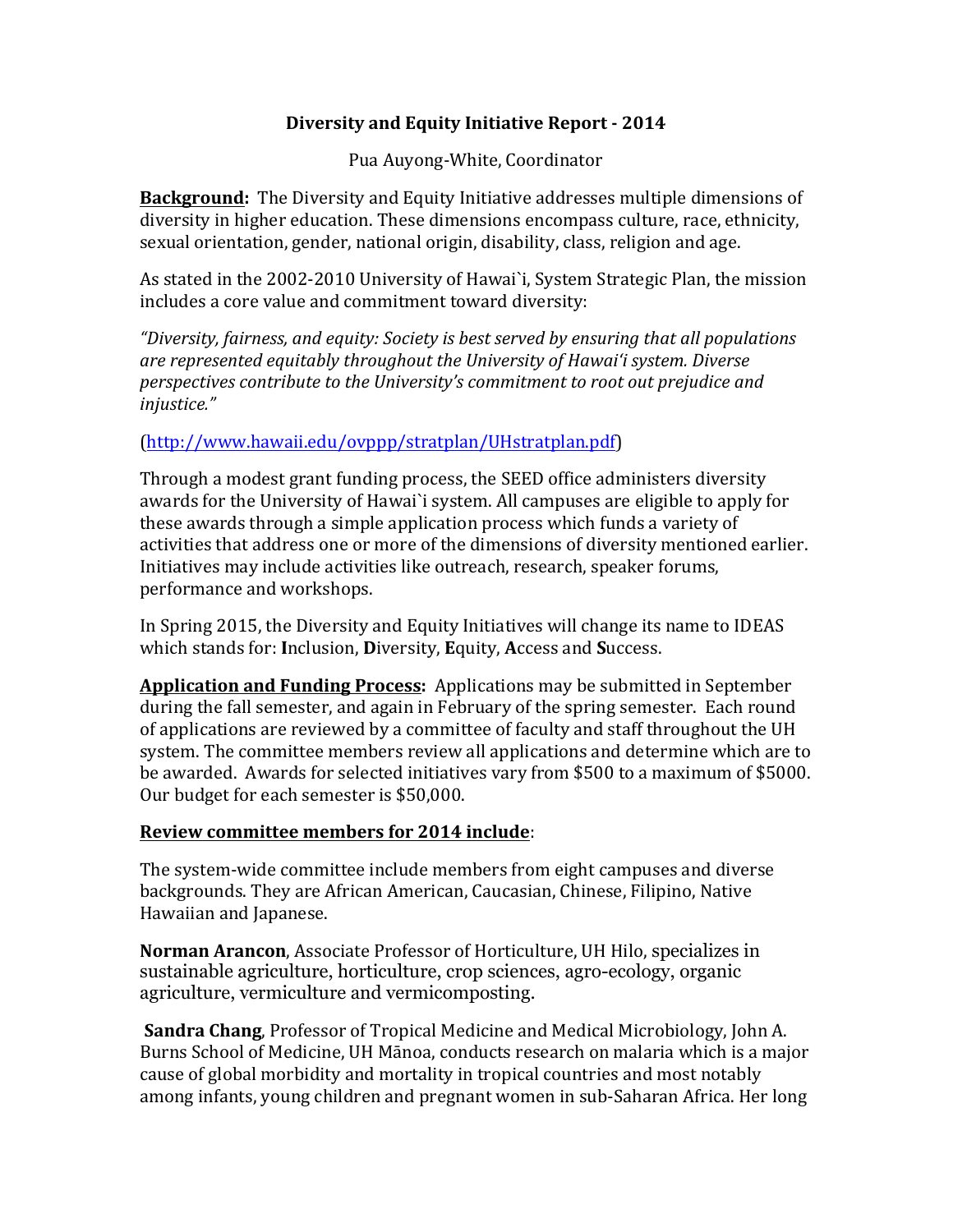# **Diversity and Equity Initiative Report - 2014**

Pua Auyong-White, Coordinator

**Background:** The Diversity and Equity Initiative addresses multiple dimensions of diversity in higher education. These dimensions encompass culture, race, ethnicity, sexual orientation, gender, national origin, disability, class, religion and age.

As stated in the 2002-2010 University of Hawai`i, System Strategic Plan, the mission includes a core value and commitment toward diversity:

*"Diversity, fairness, and equity: Society is best served by ensuring that all populations* are represented equitably throughout the University of Hawai'i system. Diverse *perspectives contribute to the University's commitment to root out prejudice and injustice."*

# (http://www.hawaii.edu/ovppp/stratplan/UHstratplan.pdf)

Through a modest grant funding process, the SEED office administers diversity awards for the University of Hawai'i system. All campuses are eligible to apply for these awards through a simple application process which funds a variety of activities that address one or more of the dimensions of diversity mentioned earlier. Initiatives may include activities like outreach, research, speaker forums, performance and workshops.

In Spring 2015, the Diversity and Equity Initiatives will change its name to IDEAS which stands for: **I**nclusion, **D**iversity, **E**quity, **A**ccess and **S**uccess. 

**Application and Funding Process:** Applications may be submitted in September during the fall semester, and again in February of the spring semester. Each round of applications are reviewed by a committee of faculty and staff throughout the UH system. The committee members review all applications and determine which are to be awarded. Awards for selected initiatives vary from \$500 to a maximum of \$5000. Our budget for each semester is \$50,000.

## **Review committee members for 2014 include:**

The system-wide committee include members from eight campuses and diverse backgrounds. They are African American, Caucasian, Chinese, Filipino, Native Hawaiian and Japanese.

**Norman Arancon**, Associate Professor of Horticulture, UH Hilo, specializes in sustainable agriculture, horticulture, crop sciences, agro-ecology, organic agriculture, vermiculture and vermicomposting.

**Sandra Chang**, Professor of Tropical Medicine and Medical Microbiology. John A. Burns School of Medicine, UH Mānoa, conducts research on malaria which is a major cause of global morbidity and mortality in tropical countries and most notably among infants, young children and pregnant women in sub-Saharan Africa. Her long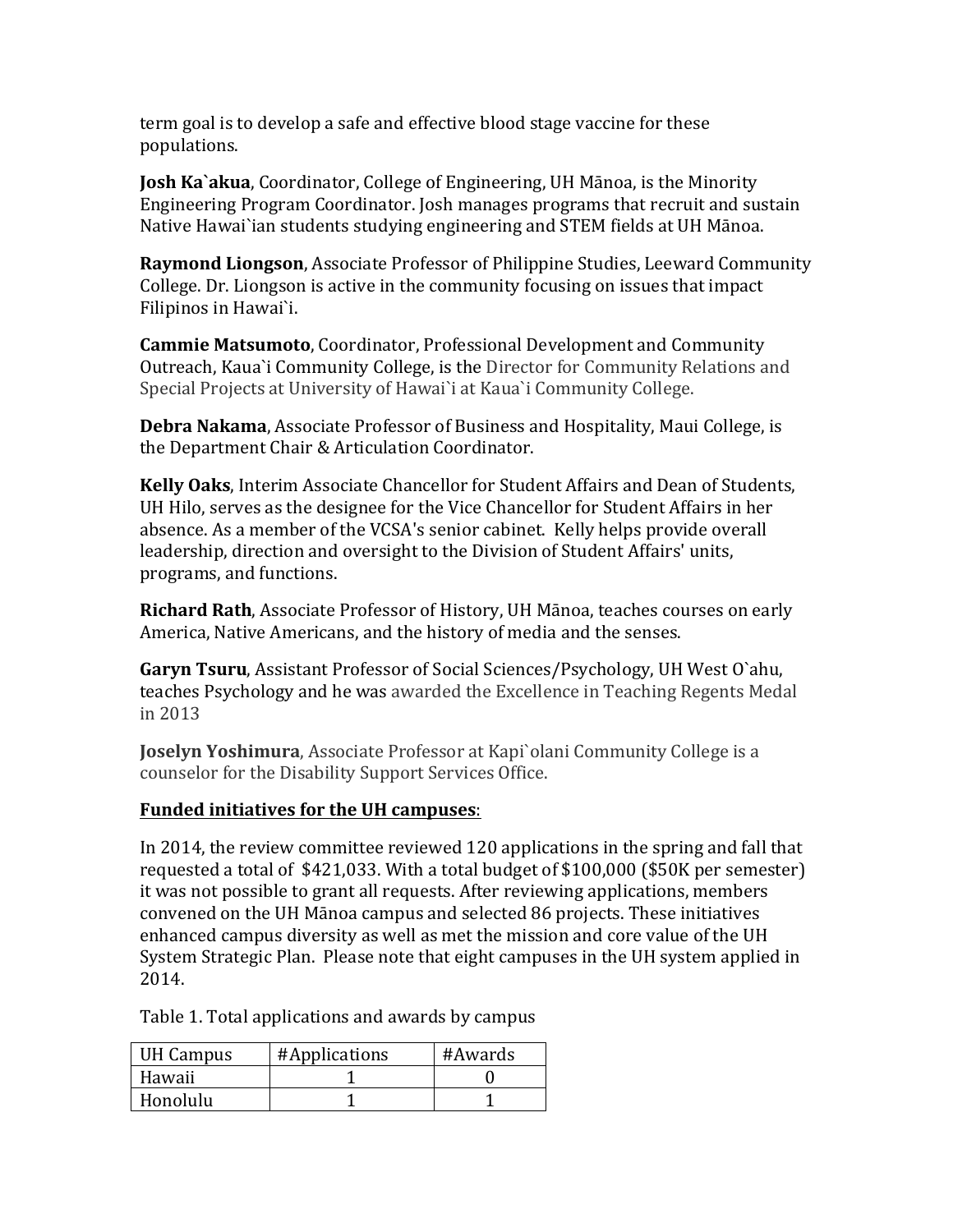term goal is to develop a safe and effective blood stage vaccine for these populations.

**Josh Ka`akua**, Coordinator, College of Engineering, UH Mānoa, is the Minority Engineering Program Coordinator. Josh manages programs that recruit and sustain Native Hawai`ian students studying engineering and STEM fields at UH Mānoa.

**Raymond Liongson**, Associate Professor of Philippine Studies, Leeward Community College. Dr. Liongson is active in the community focusing on issues that impact Filipinos in Hawai`i.

**Cammie Matsumoto**, Coordinator, Professional Development and Community Outreach, Kaua`i Community College, is the Director for Community Relations and Special Projects at University of Hawai'i at Kaua'i Community College.

**Debra Nakama**, Associate Professor of Business and Hospitality, Maui College, is the Department Chair & Articulation Coordinator.

**Kelly Oaks**, Interim Associate Chancellor for Student Affairs and Dean of Students, UH Hilo, serves as the designee for the Vice Chancellor for Student Affairs in her absence. As a member of the VCSA's senior cabinet. Kelly helps provide overall leadership, direction and oversight to the Division of Student Affairs' units, programs, and functions.

**Richard Rath**, Associate Professor of History, UH Mānoa, teaches courses on early America, Native Americans, and the history of media and the senses.

**Garyn Tsuru, Assistant Professor of Social Sciences/Psychology, UH West O'ahu,** teaches Psychology and he was awarded the Excellence in Teaching Regents Medal in 2013

**Joselyn Yoshimura**, Associate Professor at Kapi`olani Community College is a counselor for the Disability Support Services Office.

## **Funded initiatives for the UH campuses:**

In 2014, the review committee reviewed  $120$  applications in the spring and fall that requested a total of  $$421,033$ . With a total budget of  $$100,000$  ( $$50K$  per semester) it was not possible to grant all requests. After reviewing applications, members convened on the UH Mānoa campus and selected 86 projects. These initiatives enhanced campus diversity as well as met the mission and core value of the UH System Strategic Plan. Please note that eight campuses in the UH system applied in 2014.

Table 1. Total applications and awards by campus

| <b>UH Campus</b> | #Applications | #Awards |
|------------------|---------------|---------|
| Hawaii           |               |         |
| Honolulu         |               |         |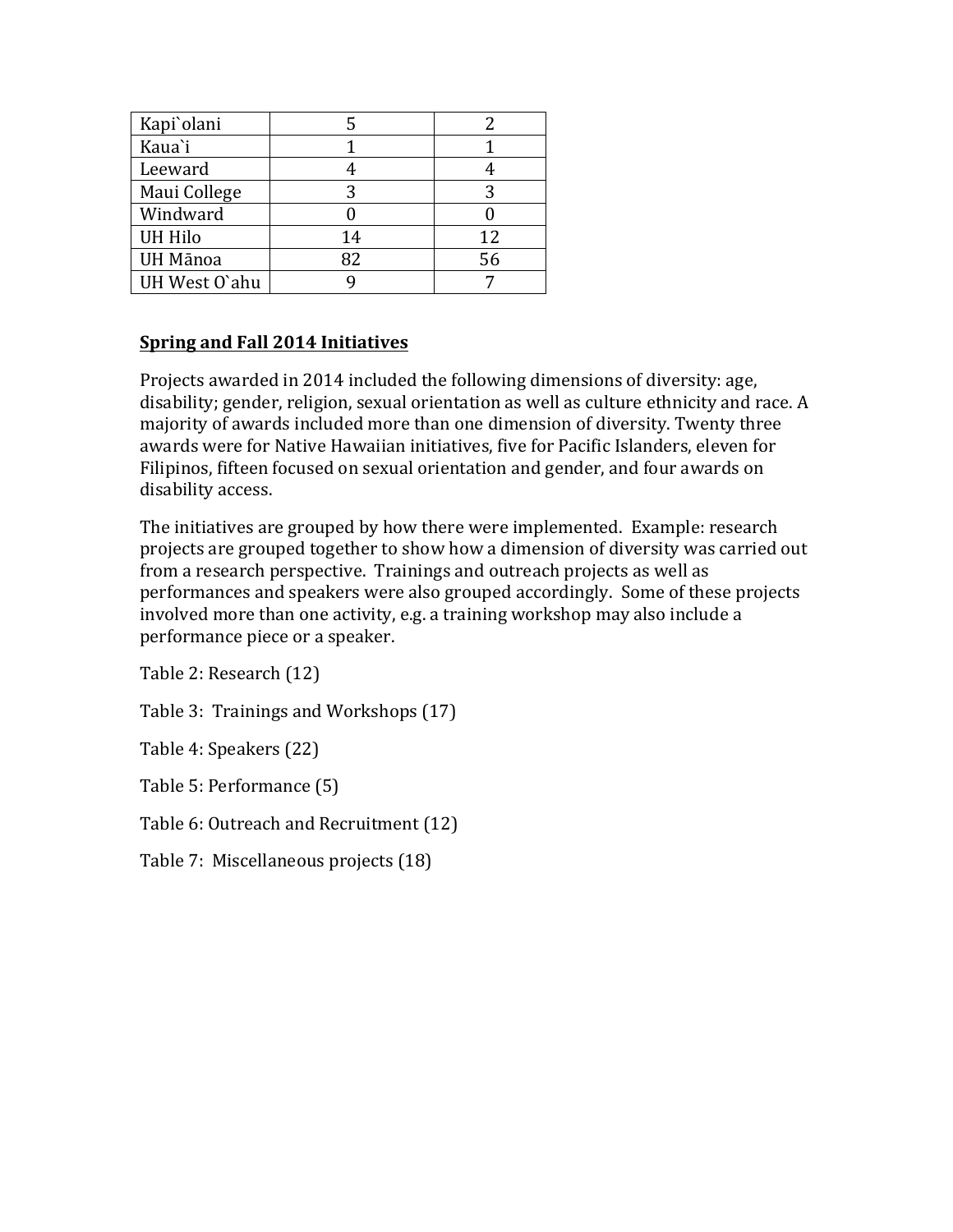| Kapi'olani     |    |    |
|----------------|----|----|
| Kaua'i         |    |    |
| Leeward        |    |    |
| Maui College   |    |    |
| Windward       |    |    |
| <b>UH Hilo</b> | 14 | 12 |
| UH Mānoa       | 82 | 56 |
| UH West O'ahu  |    |    |

# **Spring and Fall 2014 Initiatives**

Projects awarded in 2014 included the following dimensions of diversity: age, disability; gender, religion, sexual orientation as well as culture ethnicity and race. A majority of awards included more than one dimension of diversity. Twenty three awards were for Native Hawaiian initiatives, five for Pacific Islanders, eleven for Filipinos, fifteen focused on sexual orientation and gender, and four awards on disability access.

The initiatives are grouped by how there were implemented. Example: research projects are grouped together to show how a dimension of diversity was carried out from a research perspective. Trainings and outreach projects as well as performances and speakers were also grouped accordingly. Some of these projects involved more than one activity, e.g. a training workshop may also include a performance piece or a speaker.

Table 2: Research (12)

Table 3: Trainings and Workshops (17)

Table 4: Speakers (22)

Table 5: Performance (5)

Table 6: Outreach and Recruitment (12)

Table 7: Miscellaneous projects (18)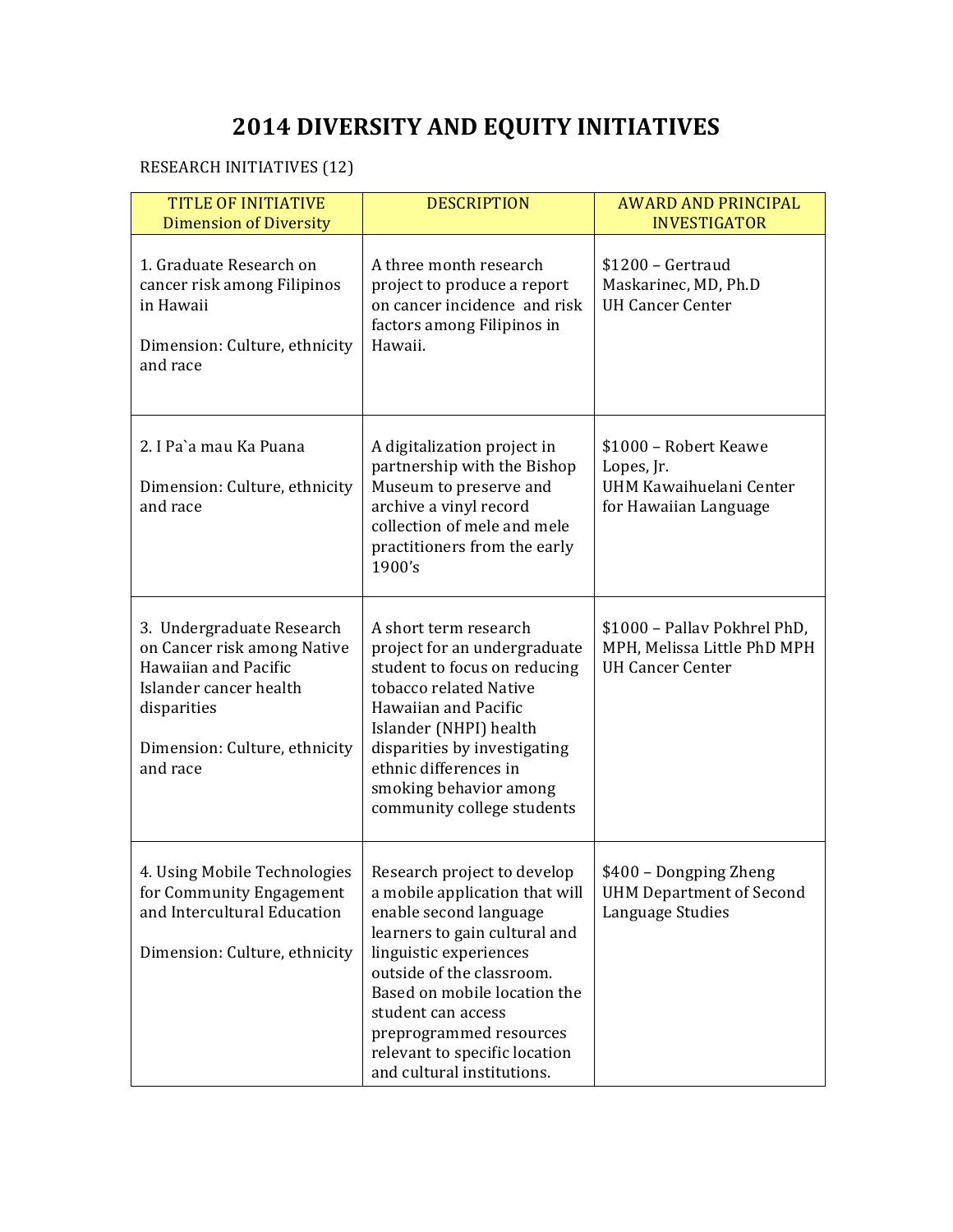# **2014 DIVERSITY AND EQUITY INITIATIVES**

# RESEARCH INITIATIVES (12)

| <b>TITLE OF INITIATIVE</b><br><b>Dimension of Diversity</b>                                                                                                            | <b>DESCRIPTION</b>                                                                                                                                                                                                                                                                                                              | <b>AWARD AND PRINCIPAL</b><br><b>INVESTIGATOR</b>                                       |
|------------------------------------------------------------------------------------------------------------------------------------------------------------------------|---------------------------------------------------------------------------------------------------------------------------------------------------------------------------------------------------------------------------------------------------------------------------------------------------------------------------------|-----------------------------------------------------------------------------------------|
| 1. Graduate Research on<br>cancer risk among Filipinos<br>in Hawaii<br>Dimension: Culture, ethnicity<br>and race                                                       | A three month research<br>project to produce a report<br>on cancer incidence and risk<br>factors among Filipinos in<br>Hawaii.                                                                                                                                                                                                  | $$1200 - Gertrand$<br>Maskarinec, MD, Ph.D<br><b>UH Cancer Center</b>                   |
| 2. I Pa'a mau Ka Puana<br>Dimension: Culture, ethnicity<br>and race                                                                                                    | A digitalization project in<br>partnership with the Bishop<br>Museum to preserve and<br>archive a vinyl record<br>collection of mele and mele<br>practitioners from the early<br>1900's                                                                                                                                         | \$1000 - Robert Keawe<br>Lopes, Jr.<br>UHM Kawaihuelani Center<br>for Hawaiian Language |
| 3. Undergraduate Research<br>on Cancer risk among Native<br>Hawaiian and Pacific<br>Islander cancer health<br>disparities<br>Dimension: Culture, ethnicity<br>and race | A short term research<br>project for an undergraduate<br>student to focus on reducing<br>tobacco related Native<br>Hawaiian and Pacific<br>Islander (NHPI) health<br>disparities by investigating<br>ethnic differences in<br>smoking behavior among<br>community college students                                              | \$1000 - Pallav Pokhrel PhD,<br>MPH, Melissa Little PhD MPH<br><b>UH Cancer Center</b>  |
| 4. Using Mobile Technologies<br>for Community Engagement<br>and Intercultural Education<br>Dimension: Culture, ethnicity                                               | Research project to develop<br>a mobile application that will<br>enable second language<br>learners to gain cultural and<br>linguistic experiences<br>outside of the classroom.<br>Based on mobile location the<br>student can access<br>preprogrammed resources<br>relevant to specific location<br>and cultural institutions. | \$400 - Dongping Zheng<br><b>UHM Department of Second</b><br>Language Studies           |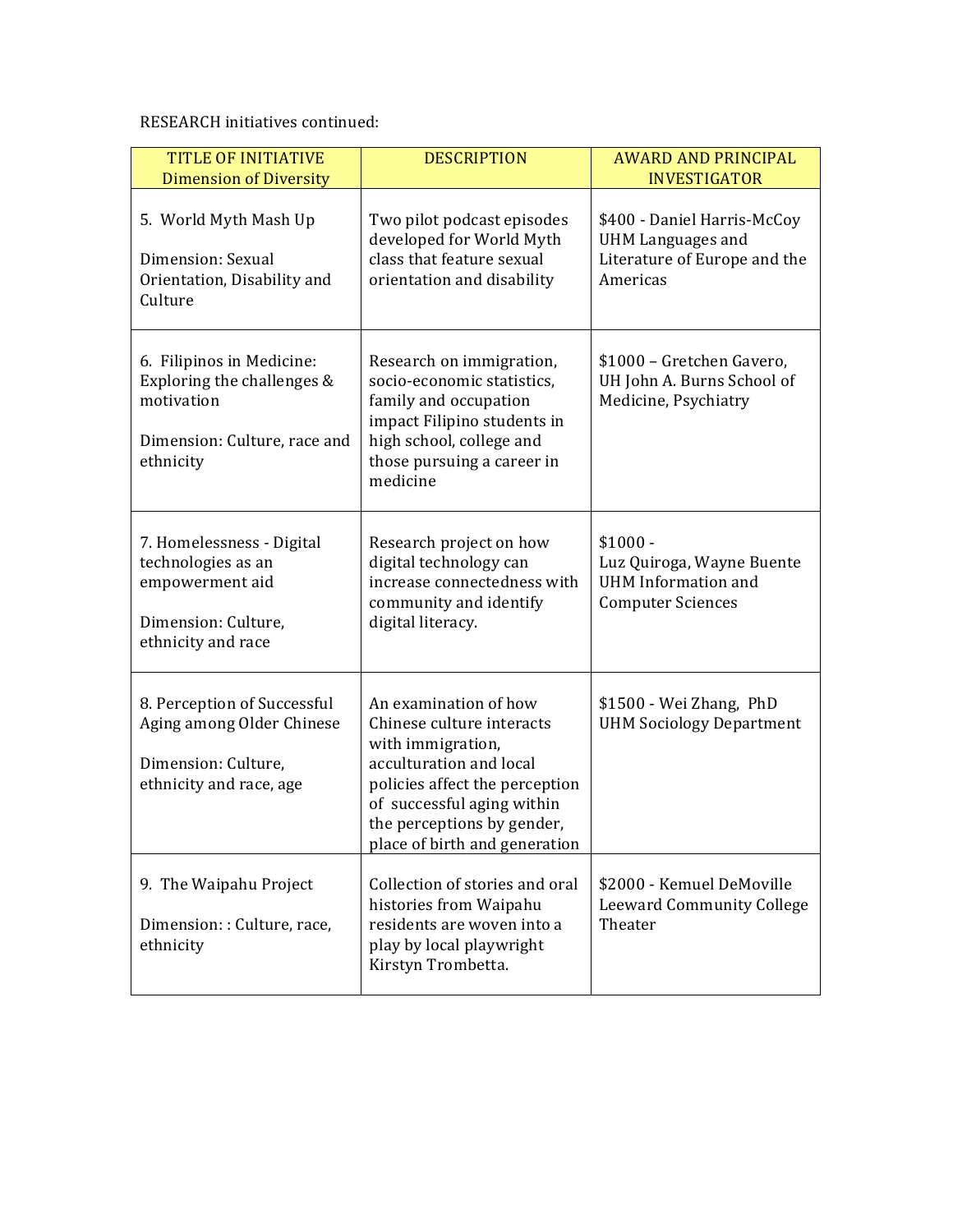## RESEARCH initiatives continued:

| <b>TITLE OF INITIATIVE</b><br><b>Dimension of Diversity</b>                                                        | <b>DESCRIPTION</b>                                                                                                                                                                                                                | <b>AWARD AND PRINCIPAL</b><br><b>INVESTIGATOR</b>                                                   |
|--------------------------------------------------------------------------------------------------------------------|-----------------------------------------------------------------------------------------------------------------------------------------------------------------------------------------------------------------------------------|-----------------------------------------------------------------------------------------------------|
| 5. World Myth Mash Up<br>Dimension: Sexual<br>Orientation, Disability and<br>Culture                               | Two pilot podcast episodes<br>developed for World Myth<br>class that feature sexual<br>orientation and disability                                                                                                                 | \$400 - Daniel Harris-McCoy<br><b>UHM Languages and</b><br>Literature of Europe and the<br>Americas |
| 6. Filipinos in Medicine:<br>Exploring the challenges &<br>motivation<br>Dimension: Culture, race and<br>ethnicity | Research on immigration,<br>socio-economic statistics,<br>family and occupation<br>impact Filipino students in<br>high school, college and<br>those pursuing a career in<br>medicine                                              | \$1000 - Gretchen Gavero,<br>UH John A. Burns School of<br>Medicine, Psychiatry                     |
| 7. Homelessness - Digital<br>technologies as an<br>empowerment aid<br>Dimension: Culture,<br>ethnicity and race    | Research project on how<br>digital technology can<br>increase connectedness with<br>community and identify<br>digital literacy.                                                                                                   | $$1000 -$<br>Luz Quiroga, Wayne Buente<br><b>UHM</b> Information and<br><b>Computer Sciences</b>    |
| 8. Perception of Successful<br>Aging among Older Chinese<br>Dimension: Culture,<br>ethnicity and race, age         | An examination of how<br>Chinese culture interacts<br>with immigration,<br>acculturation and local<br>policies affect the perception<br>of successful aging within<br>the perceptions by gender,<br>place of birth and generation | \$1500 - Wei Zhang, PhD<br><b>UHM Sociology Department</b>                                          |
| 9. The Waipahu Project<br>Dimension: : Culture, race,<br>ethnicity                                                 | Collection of stories and oral<br>histories from Waipahu<br>residents are woven into a<br>play by local playwright<br>Kirstyn Trombetta.                                                                                          | \$2000 - Kemuel DeMoville<br><b>Leeward Community College</b><br>Theater                            |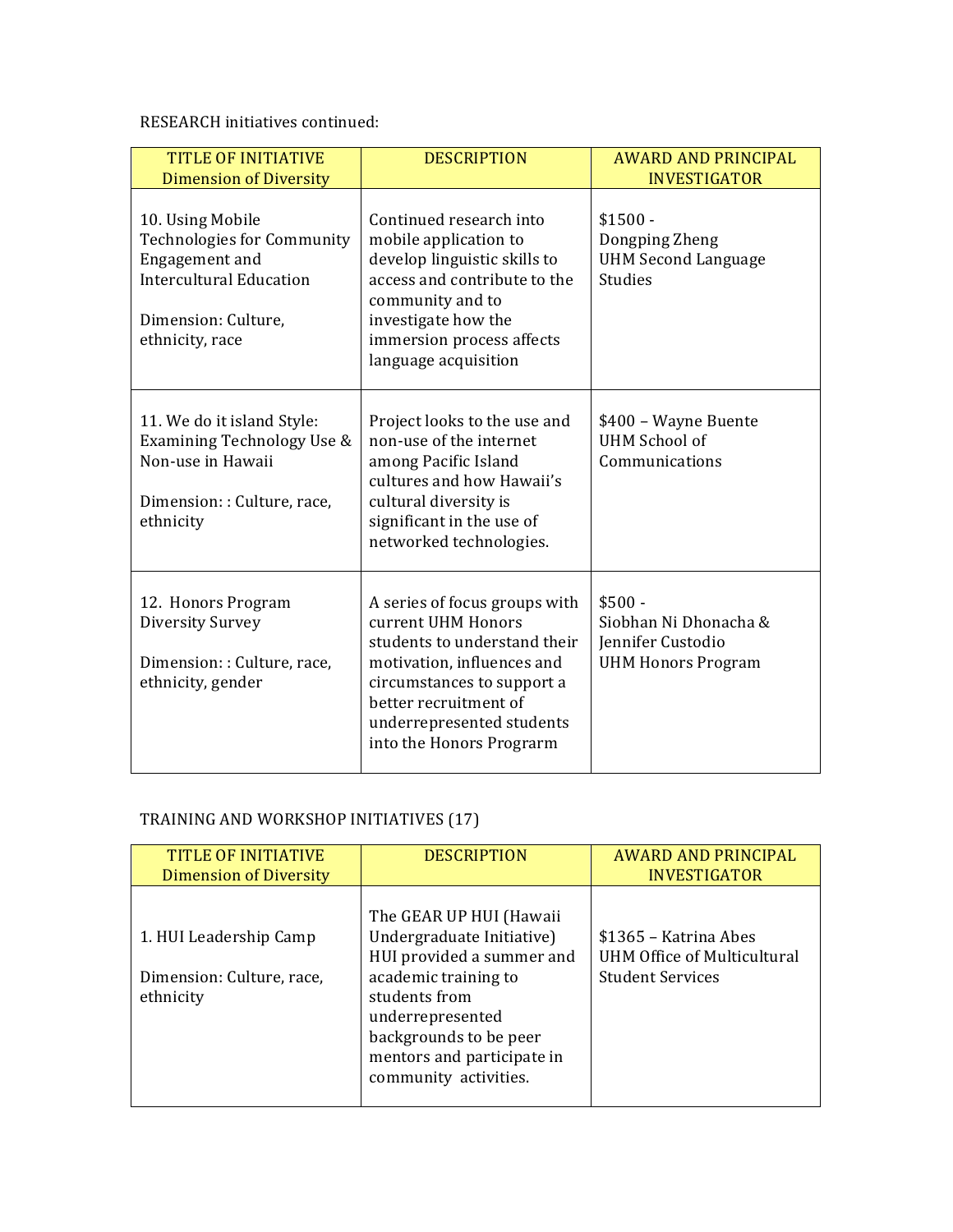RESEARCH initiatives continued:

| <b>TITLE OF INITIATIVE</b><br><b>Dimension of Diversity</b>                                                                                         | <b>DESCRIPTION</b>                                                                                                                                                                                                                | <b>AWARD AND PRINCIPAL</b><br><b>INVESTIGATOR</b>                                   |
|-----------------------------------------------------------------------------------------------------------------------------------------------------|-----------------------------------------------------------------------------------------------------------------------------------------------------------------------------------------------------------------------------------|-------------------------------------------------------------------------------------|
| 10. Using Mobile<br><b>Technologies for Community</b><br>Engagement and<br><b>Intercultural Education</b><br>Dimension: Culture,<br>ethnicity, race | Continued research into<br>mobile application to<br>develop linguistic skills to<br>access and contribute to the<br>community and to<br>investigate how the<br>immersion process affects<br>language acquisition                  | $$1500 -$<br>Dongping Zheng<br><b>UHM Second Language</b><br><b>Studies</b>         |
| 11. We do it island Style:<br>Examining Technology Use &<br>Non-use in Hawaii<br>Dimension:: Culture, race,<br>ethnicity                            | Project looks to the use and<br>non-use of the internet<br>among Pacific Island<br>cultures and how Hawaii's<br>cultural diversity is<br>significant in the use of<br>networked technologies.                                     | \$400 - Wayne Buente<br><b>UHM School of</b><br>Communications                      |
| 12. Honors Program<br>Diversity Survey<br>Dimension:: Culture, race,<br>ethnicity, gender                                                           | A series of focus groups with<br>current UHM Honors<br>students to understand their<br>motivation, influences and<br>circumstances to support a<br>better recruitment of<br>underrepresented students<br>into the Honors Prograrm | $$500 -$<br>Siobhan Ni Dhonacha &<br>Jennifer Custodio<br><b>UHM Honors Program</b> |

# TRAINING AND WORKSHOP INITIATIVES (17)

| <b>TITLE OF INITIATIVE</b><br><b>Dimension of Diversity</b>      | <b>DESCRIPTION</b>                                                                                                                                                                                                              | <b>AWARD AND PRINCIPAL</b><br><b>INVESTIGATOR</b>                                      |
|------------------------------------------------------------------|---------------------------------------------------------------------------------------------------------------------------------------------------------------------------------------------------------------------------------|----------------------------------------------------------------------------------------|
| 1. HUI Leadership Camp<br>Dimension: Culture, race,<br>ethnicity | The GEAR UP HUI (Hawaii<br>Undergraduate Initiative)<br>HUI provided a summer and<br>academic training to<br>students from<br>underrepresented<br>backgrounds to be peer<br>mentors and participate in<br>community activities. | \$1365 - Katrina Abes<br><b>UHM Office of Multicultural</b><br><b>Student Services</b> |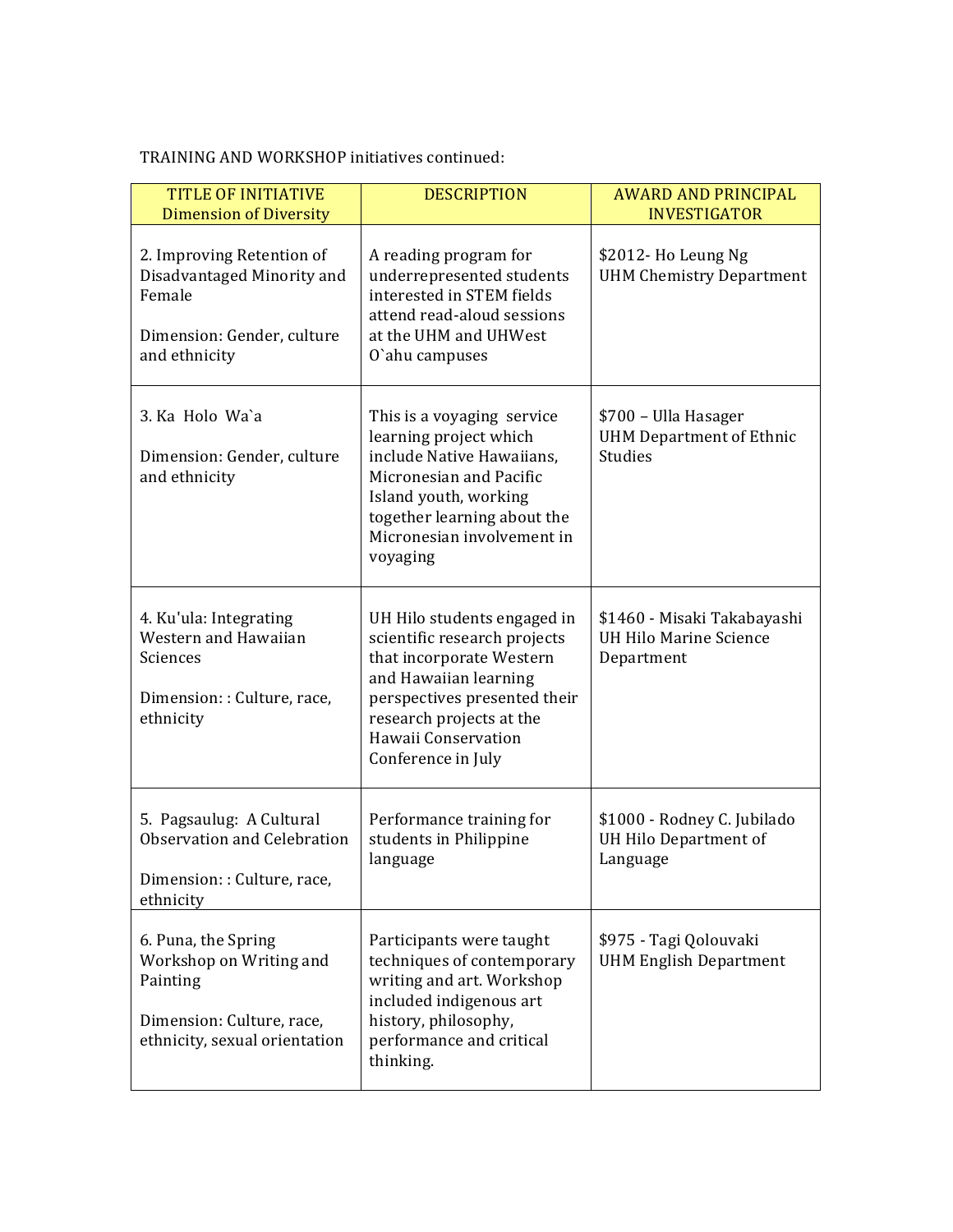| <b>TITLE OF INITIATIVE</b><br><b>Dimension of Diversity</b>                                                              | <b>DESCRIPTION</b>                                                                                                                                                                                                               | <b>AWARD AND PRINCIPAL</b><br><b>INVESTIGATOR</b>                          |
|--------------------------------------------------------------------------------------------------------------------------|----------------------------------------------------------------------------------------------------------------------------------------------------------------------------------------------------------------------------------|----------------------------------------------------------------------------|
| 2. Improving Retention of<br>Disadvantaged Minority and<br>Female<br>Dimension: Gender, culture<br>and ethnicity         | A reading program for<br>underrepresented students<br>interested in STEM fields<br>attend read-aloud sessions<br>at the UHM and UHWest<br>O'ahu campuses                                                                         | \$2012- Ho Leung Ng<br><b>UHM Chemistry Department</b>                     |
| 3. Ka Holo Wa`a<br>Dimension: Gender, culture<br>and ethnicity                                                           | This is a voyaging service<br>learning project which<br>include Native Hawaiians,<br>Micronesian and Pacific<br>Island youth, working<br>together learning about the<br>Micronesian involvement in<br>voyaging                   | \$700 - Ulla Hasager<br><b>UHM Department of Ethnic</b><br><b>Studies</b>  |
| 4. Ku'ula: Integrating<br>Western and Hawaiian<br>Sciences<br>Dimension:: Culture, race,<br>ethnicity                    | UH Hilo students engaged in<br>scientific research projects<br>that incorporate Western<br>and Hawaiian learning<br>perspectives presented their<br>research projects at the<br><b>Hawaii Conservation</b><br>Conference in July | \$1460 - Misaki Takabayashi<br><b>UH Hilo Marine Science</b><br>Department |
| 5. Pagsaulug: A Cultural<br>Observation and Celebration<br>Dimension:: Culture, race,<br>ethnicity                       | Performance training for<br>students in Philippine<br>language                                                                                                                                                                   | \$1000 - Rodney C. Jubilado<br>UH Hilo Department of<br>Language           |
| 6. Puna, the Spring<br>Workshop on Writing and<br>Painting<br>Dimension: Culture, race,<br>ethnicity, sexual orientation | Participants were taught<br>techniques of contemporary<br>writing and art. Workshop<br>included indigenous art<br>history, philosophy,<br>performance and critical<br>thinking.                                                  | \$975 - Tagi Qolouvaki<br><b>UHM English Department</b>                    |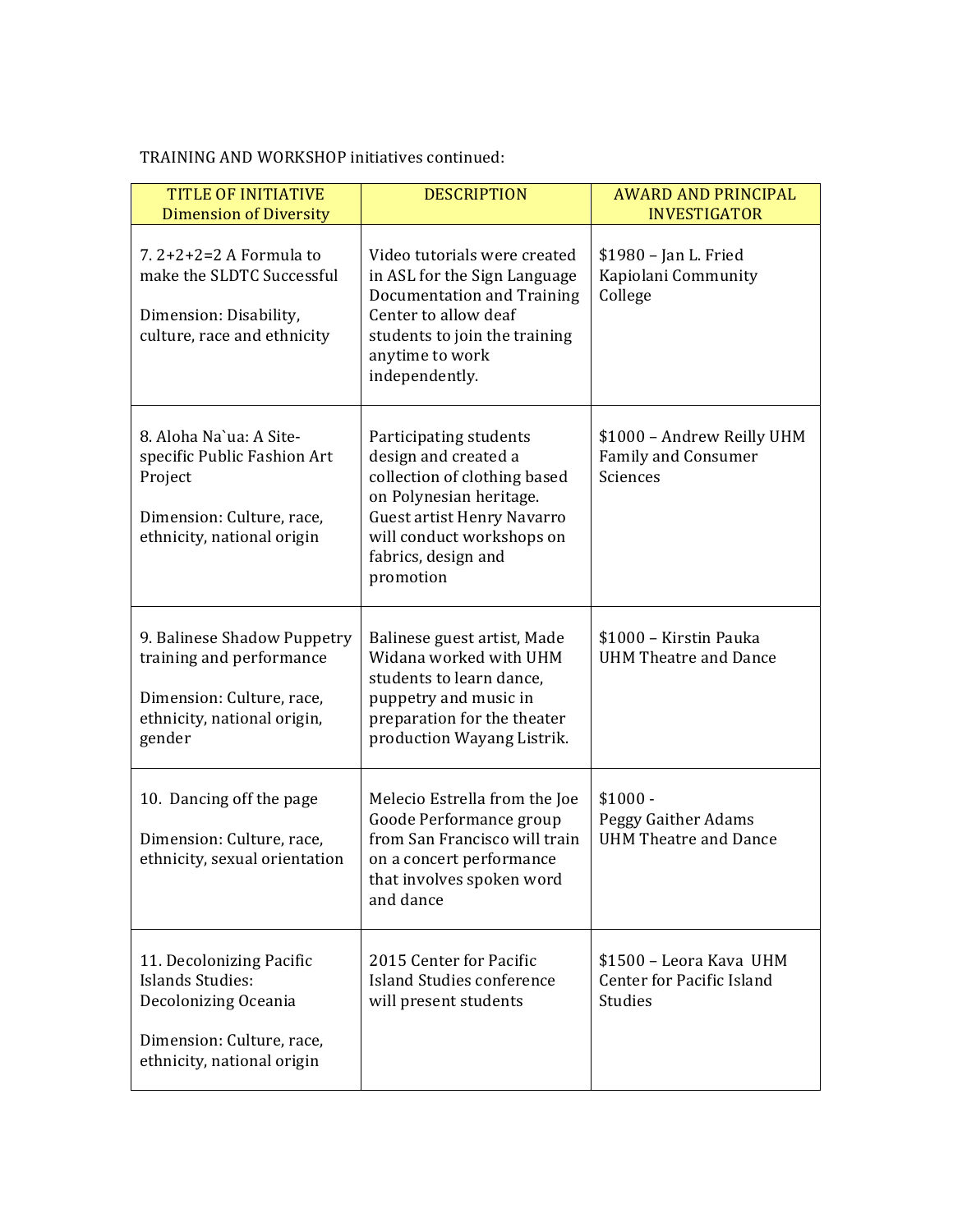| <b>TITLE OF INITIATIVE</b><br><b>Dimension of Diversity</b>                                                                            | <b>DESCRIPTION</b>                                                                                                                                                                                       | <b>AWARD AND PRINCIPAL</b><br><b>INVESTIGATOR</b>                      |
|----------------------------------------------------------------------------------------------------------------------------------------|----------------------------------------------------------------------------------------------------------------------------------------------------------------------------------------------------------|------------------------------------------------------------------------|
| 7. $2+2+2=2$ A Formula to<br>make the SLDTC Successful<br>Dimension: Disability,<br>culture, race and ethnicity                        | Video tutorials were created<br>in ASL for the Sign Language<br>Documentation and Training<br>Center to allow deaf<br>students to join the training<br>anytime to work<br>independently.                 | \$1980 - Jan L. Fried<br>Kapiolani Community<br>College                |
| 8. Aloha Na`ua: A Site-<br>specific Public Fashion Art<br>Project<br>Dimension: Culture, race,<br>ethnicity, national origin           | Participating students<br>design and created a<br>collection of clothing based<br>on Polynesian heritage.<br>Guest artist Henry Navarro<br>will conduct workshops on<br>fabrics, design and<br>promotion | \$1000 - Andrew Reilly UHM<br>Family and Consumer<br>Sciences          |
| 9. Balinese Shadow Puppetry<br>training and performance<br>Dimension: Culture, race,<br>ethnicity, national origin,<br>gender          | Balinese guest artist, Made<br>Widana worked with UHM<br>students to learn dance,<br>puppetry and music in<br>preparation for the theater<br>production Wayang Listrik.                                  | \$1000 - Kirstin Pauka<br><b>UHM Theatre and Dance</b>                 |
| 10. Dancing off the page<br>Dimension: Culture, race,<br>ethnicity, sexual orientation                                                 | Melecio Estrella from the Joe<br>Goode Performance group<br>from San Francisco will train<br>on a concert performance<br>that involves spoken word<br>and dance                                          | $$1000 -$<br>Peggy Gaither Adams<br><b>UHM Theatre and Dance</b>       |
| 11. Decolonizing Pacific<br><b>Islands Studies:</b><br>Decolonizing Oceania<br>Dimension: Culture, race,<br>ethnicity, national origin | 2015 Center for Pacific<br>Island Studies conference<br>will present students                                                                                                                            | \$1500 - Leora Kava UHM<br>Center for Pacific Island<br><b>Studies</b> |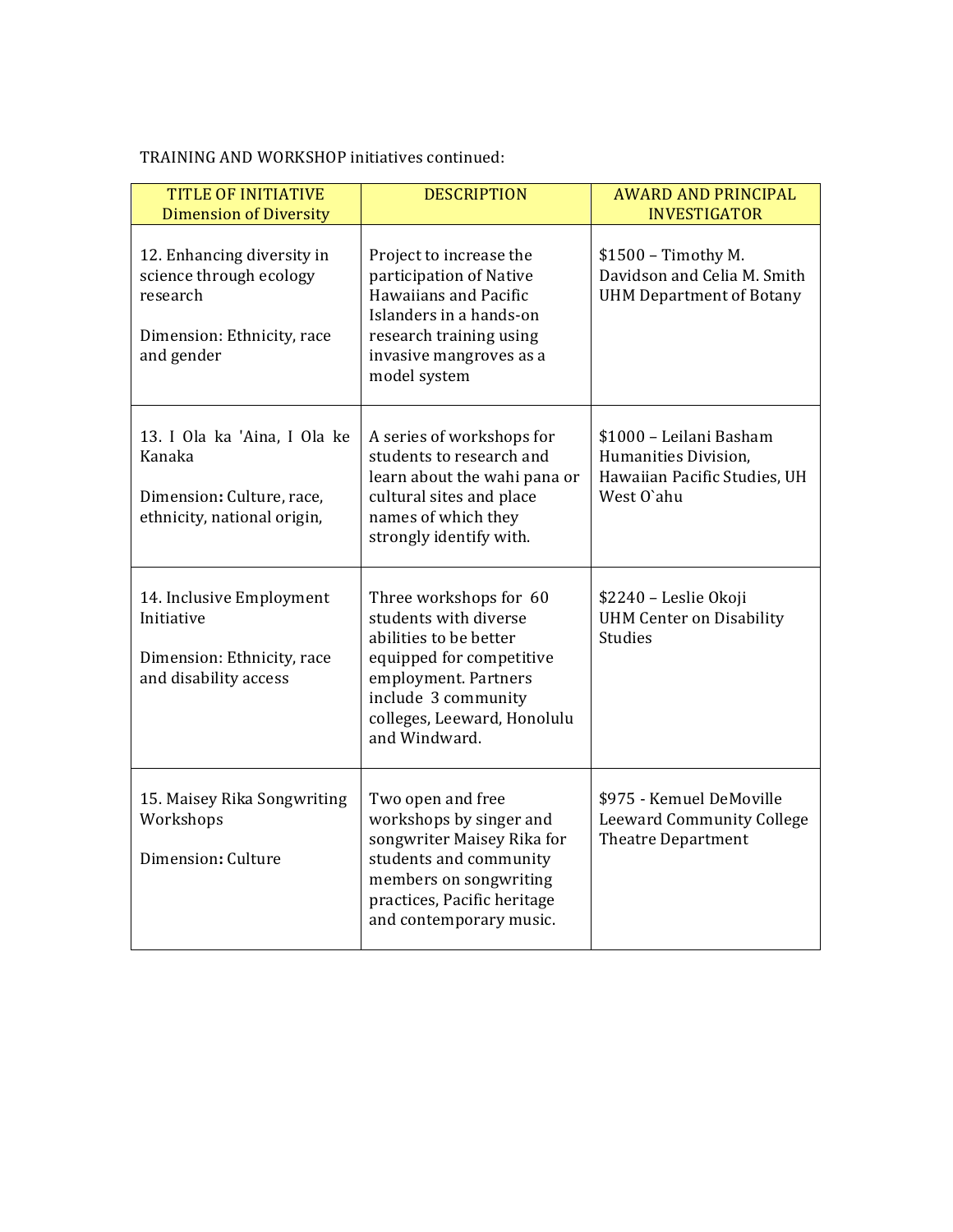| <b>TITLE OF INITIATIVE</b><br><b>Dimension of Diversity</b>                                                   | <b>DESCRIPTION</b>                                                                                                                                                                                   | <b>AWARD AND PRINCIPAL</b><br><b>INVESTIGATOR</b>                                             |
|---------------------------------------------------------------------------------------------------------------|------------------------------------------------------------------------------------------------------------------------------------------------------------------------------------------------------|-----------------------------------------------------------------------------------------------|
| 12. Enhancing diversity in<br>science through ecology<br>research<br>Dimension: Ethnicity, race<br>and gender | Project to increase the<br>participation of Native<br>Hawaiians and Pacific<br>Islanders in a hands-on<br>research training using<br>invasive mangroves as a<br>model system                         | $$1500 - Timothy M.$<br>Davidson and Celia M. Smith<br><b>UHM Department of Botany</b>        |
| 13. I Ola ka 'Aina, I Ola ke<br>Kanaka<br>Dimension: Culture, race,<br>ethnicity, national origin,            | A series of workshops for<br>students to research and<br>learn about the wahi pana or<br>cultural sites and place<br>names of which they<br>strongly identify with.                                  | \$1000 - Leilani Basham<br>Humanities Division,<br>Hawaiian Pacific Studies, UH<br>West O'ahu |
| 14. Inclusive Employment<br>Initiative<br>Dimension: Ethnicity, race<br>and disability access                 | Three workshops for 60<br>students with diverse<br>abilities to be better<br>equipped for competitive<br>employment. Partners<br>include 3 community<br>colleges, Leeward, Honolulu<br>and Windward. | \$2240 - Leslie Okoji<br><b>UHM Center on Disability</b><br><b>Studies</b>                    |
| 15. Maisey Rika Songwriting<br>Workshops<br>Dimension: Culture                                                | Two open and free<br>workshops by singer and<br>songwriter Maisey Rika for<br>students and community<br>members on songwriting<br>practices, Pacific heritage<br>and contemporary music.             | \$975 - Kemuel DeMoville<br><b>Leeward Community College</b><br><b>Theatre Department</b>     |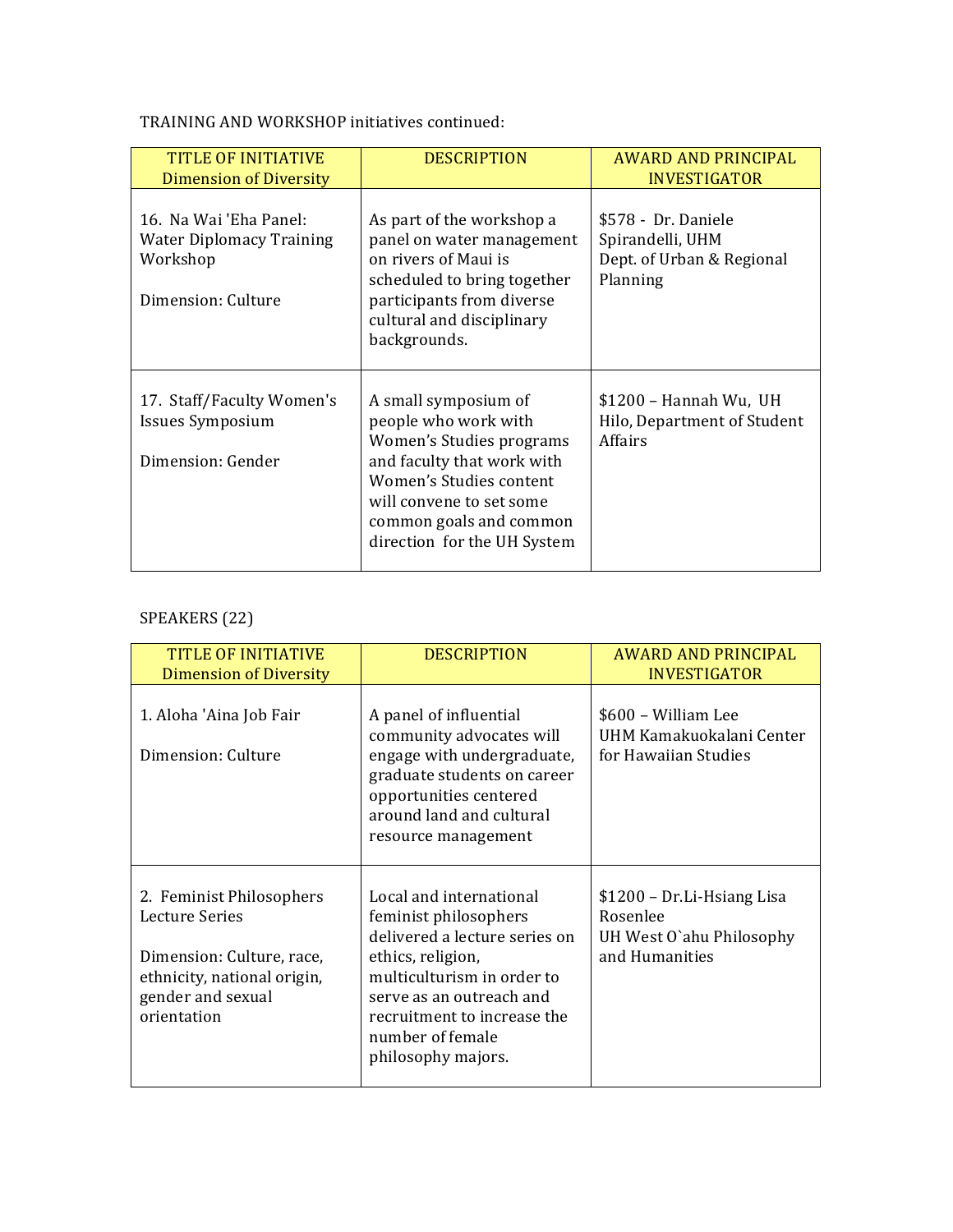| TITLE OF INITIATIVE<br><b>Dimension of Diversity</b>                                        | <b>DESCRIPTION</b>                                                                                                                                                                                                      | AWARD AND PRINCIPAL<br><b>INVESTIGATOR</b>                                       |
|---------------------------------------------------------------------------------------------|-------------------------------------------------------------------------------------------------------------------------------------------------------------------------------------------------------------------------|----------------------------------------------------------------------------------|
| 16. Na Wai 'Eha Panel:<br><b>Water Diplomacy Training</b><br>Workshop<br>Dimension: Culture | As part of the workshop a<br>panel on water management<br>on rivers of Maui is<br>scheduled to bring together<br>participants from diverse<br>cultural and disciplinary<br>backgrounds.                                 | \$578 - Dr. Daniele<br>Spirandelli, UHM<br>Dept. of Urban & Regional<br>Planning |
| 17. Staff/Faculty Women's<br><b>Issues Symposium</b><br>Dimension: Gender                   | A small symposium of<br>people who work with<br>Women's Studies programs<br>and faculty that work with<br>Women's Studies content<br>will convene to set some<br>common goals and common<br>direction for the UH System | \$1200 - Hannah Wu, UH<br>Hilo, Department of Student<br>Affairs                 |

# SPEAKERS (22)

| <b>TITLE OF INITIATIVE</b><br><b>Dimension of Diversity</b>                                                                                | <b>DESCRIPTION</b>                                                                                                                                                                                                                        | AWARD AND PRINCIPAL<br><b>INVESTIGATOR</b>                                           |
|--------------------------------------------------------------------------------------------------------------------------------------------|-------------------------------------------------------------------------------------------------------------------------------------------------------------------------------------------------------------------------------------------|--------------------------------------------------------------------------------------|
| 1. Aloha 'Aina Job Fair<br>Dimension: Culture                                                                                              | A panel of influential<br>community advocates will<br>engage with undergraduate,<br>graduate students on career<br>opportunities centered<br>around land and cultural<br>resource management                                              | \$600 – William Lee<br>UHM Kamakuokalani Center<br>for Hawaiian Studies              |
| 2. Feminist Philosophers<br>Lecture Series<br>Dimension: Culture, race,<br>ethnicity, national origin,<br>gender and sexual<br>orientation | Local and international<br>feminist philosophers<br>delivered a lecture series on<br>ethics, religion,<br>multiculturism in order to<br>serve as an outreach and<br>recruitment to increase the<br>number of female<br>philosophy majors. | \$1200 – Dr.Li-Hsiang Lisa<br>Rosenlee<br>UH West O'ahu Philosophy<br>and Humanities |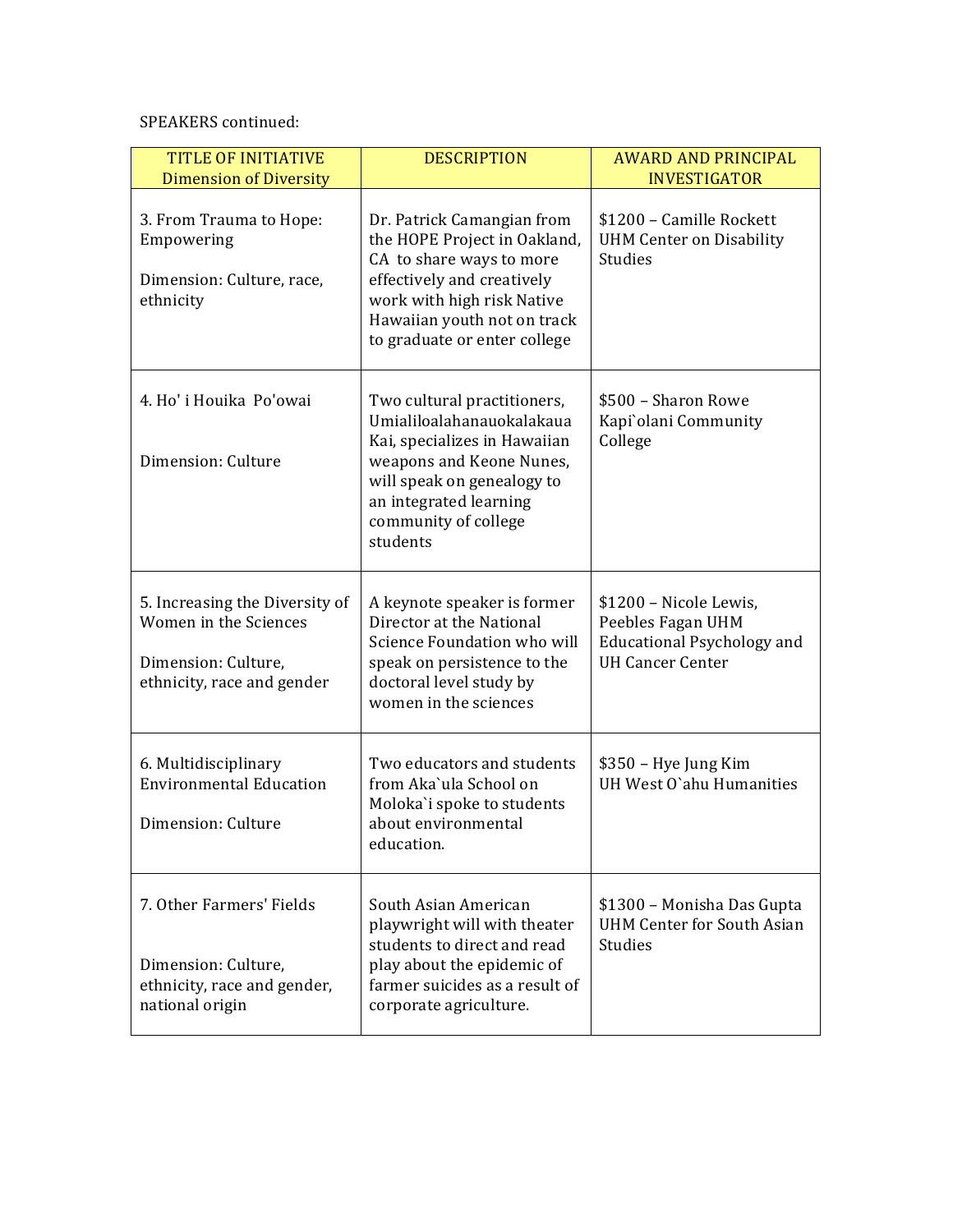| <b>TITLE OF INITIATIVE</b><br><b>Dimension of Diversity</b>                                                  | <b>DESCRIPTION</b>                                                                                                                                                                                                | <b>AWARD AND PRINCIPAL</b><br><b>INVESTIGATOR</b>                                                           |
|--------------------------------------------------------------------------------------------------------------|-------------------------------------------------------------------------------------------------------------------------------------------------------------------------------------------------------------------|-------------------------------------------------------------------------------------------------------------|
| 3. From Trauma to Hope:<br>Empowering<br>Dimension: Culture, race,<br>ethnicity                              | Dr. Patrick Camangian from<br>the HOPE Project in Oakland,<br>CA to share ways to more<br>effectively and creatively<br>work with high risk Native<br>Hawaiian youth not on track<br>to graduate or enter college | \$1200 - Camille Rockett<br><b>UHM Center on Disability</b><br><b>Studies</b>                               |
| 4. Ho' i Houika Po'owai<br>Dimension: Culture                                                                | Two cultural practitioners,<br>Umialiloalahanauokalakaua<br>Kai, specializes in Hawaiian<br>weapons and Keone Nunes,<br>will speak on genealogy to<br>an integrated learning<br>community of college<br>students  | \$500 - Sharon Rowe<br>Kapi'olani Community<br>College                                                      |
| 5. Increasing the Diversity of<br>Women in the Sciences<br>Dimension: Culture,<br>ethnicity, race and gender | A keynote speaker is former<br>Director at the National<br>Science Foundation who will<br>speak on persistence to the<br>doctoral level study by<br>women in the sciences                                         | \$1200 - Nicole Lewis,<br>Peebles Fagan UHM<br><b>Educational Psychology and</b><br><b>UH Cancer Center</b> |
| 6. Multidisciplinary<br><b>Environmental Education</b><br>Dimension: Culture                                 | Two educators and students<br>from Aka'ula School on<br>Moloka'i spoke to students<br>about environmental<br>education.                                                                                           | \$350 – Hye Jung Kim<br>UH West O'ahu Humanities                                                            |
| 7. Other Farmers' Fields<br>Dimension: Culture,<br>ethnicity, race and gender,<br>national origin            | South Asian American<br>playwright will with theater<br>students to direct and read<br>play about the epidemic of<br>farmer suicides as a result of<br>corporate agriculture.                                     | \$1300 - Monisha Das Gupta<br>UHM Center for South Asian<br><b>Studies</b>                                  |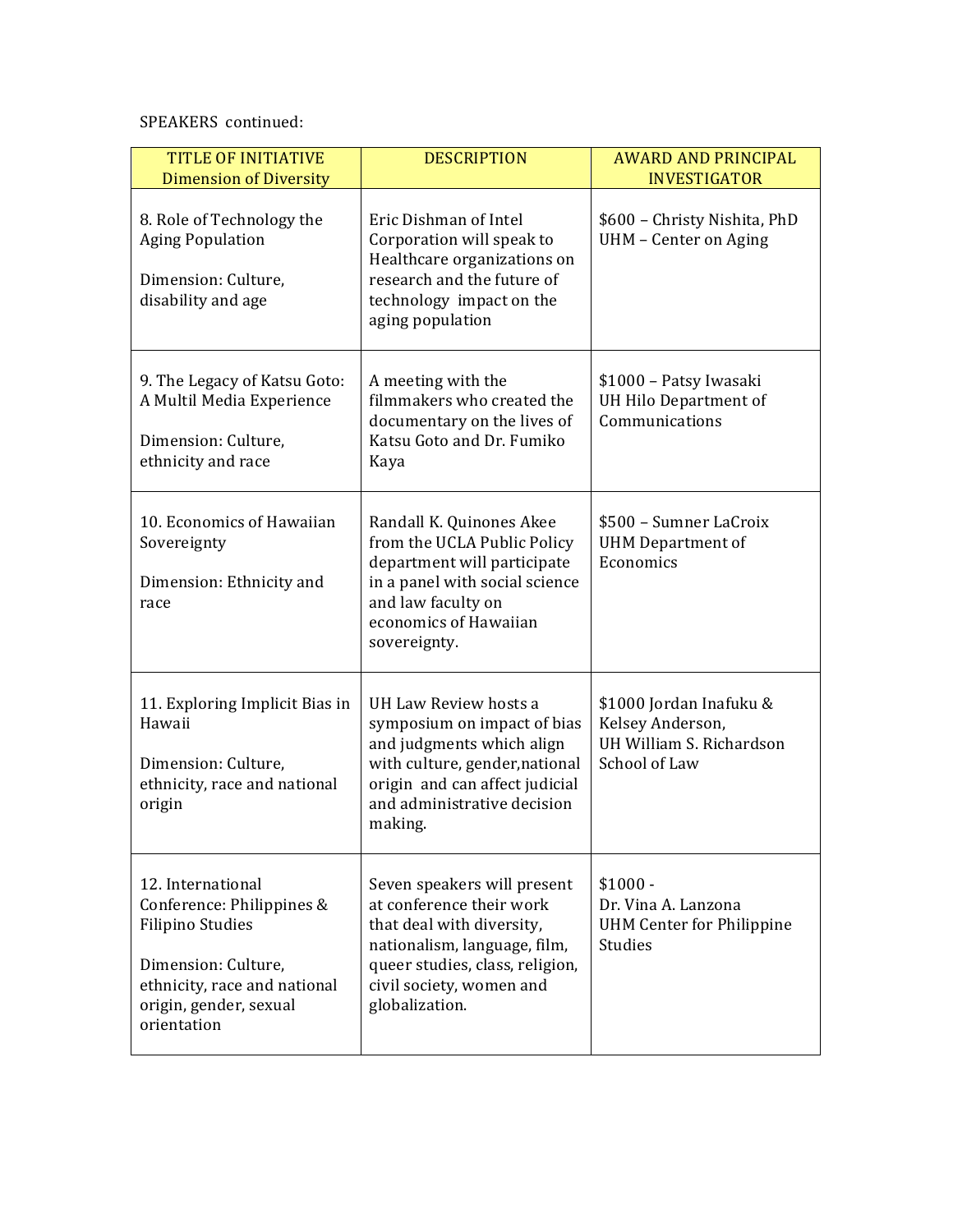| <b>TITLE OF INITIATIVE</b><br><b>Dimension of Diversity</b>                                                                                                               | <b>DESCRIPTION</b>                                                                                                                                                                                    | <b>AWARD AND PRINCIPAL</b><br><b>INVESTIGATOR</b>                                        |
|---------------------------------------------------------------------------------------------------------------------------------------------------------------------------|-------------------------------------------------------------------------------------------------------------------------------------------------------------------------------------------------------|------------------------------------------------------------------------------------------|
| 8. Role of Technology the<br><b>Aging Population</b><br>Dimension: Culture,<br>disability and age                                                                         | Eric Dishman of Intel<br>Corporation will speak to<br>Healthcare organizations on<br>research and the future of<br>technology impact on the<br>aging population                                       | \$600 - Christy Nishita, PhD<br>UHM - Center on Aging                                    |
| 9. The Legacy of Katsu Goto:<br>A Multil Media Experience<br>Dimension: Culture,<br>ethnicity and race                                                                    | A meeting with the<br>filmmakers who created the<br>documentary on the lives of<br>Katsu Goto and Dr. Fumiko<br>Kaya                                                                                  | \$1000 - Patsy Iwasaki<br>UH Hilo Department of<br>Communications                        |
| 10. Economics of Hawaiian<br>Sovereignty<br>Dimension: Ethnicity and<br>race                                                                                              | Randall K. Quinones Akee<br>from the UCLA Public Policy<br>department will participate<br>in a panel with social science<br>and law faculty on<br>economics of Hawaiian<br>sovereignty.               | \$500 - Sumner LaCroix<br><b>UHM</b> Department of<br>Economics                          |
| 11. Exploring Implicit Bias in<br>Hawaii<br>Dimension: Culture,<br>ethnicity, race and national<br>origin                                                                 | UH Law Review hosts a<br>symposium on impact of bias<br>and judgments which align<br>with culture, gender, national<br>origin and can affect judicial<br>and administrative decision<br>making.       | \$1000 Jordan Inafuku &<br>Kelsey Anderson,<br>UH William S. Richardson<br>School of Law |
| 12. International<br>Conference: Philippines &<br><b>Filipino Studies</b><br>Dimension: Culture,<br>ethnicity, race and national<br>origin, gender, sexual<br>orientation | Seven speakers will present<br>at conference their work<br>that deal with diversity,<br>nationalism, language, film,<br>queer studies, class, religion,<br>civil society, women and<br>globalization. | $$1000 -$<br>Dr. Vina A. Lanzona<br><b>UHM Center for Philippine</b><br><b>Studies</b>   |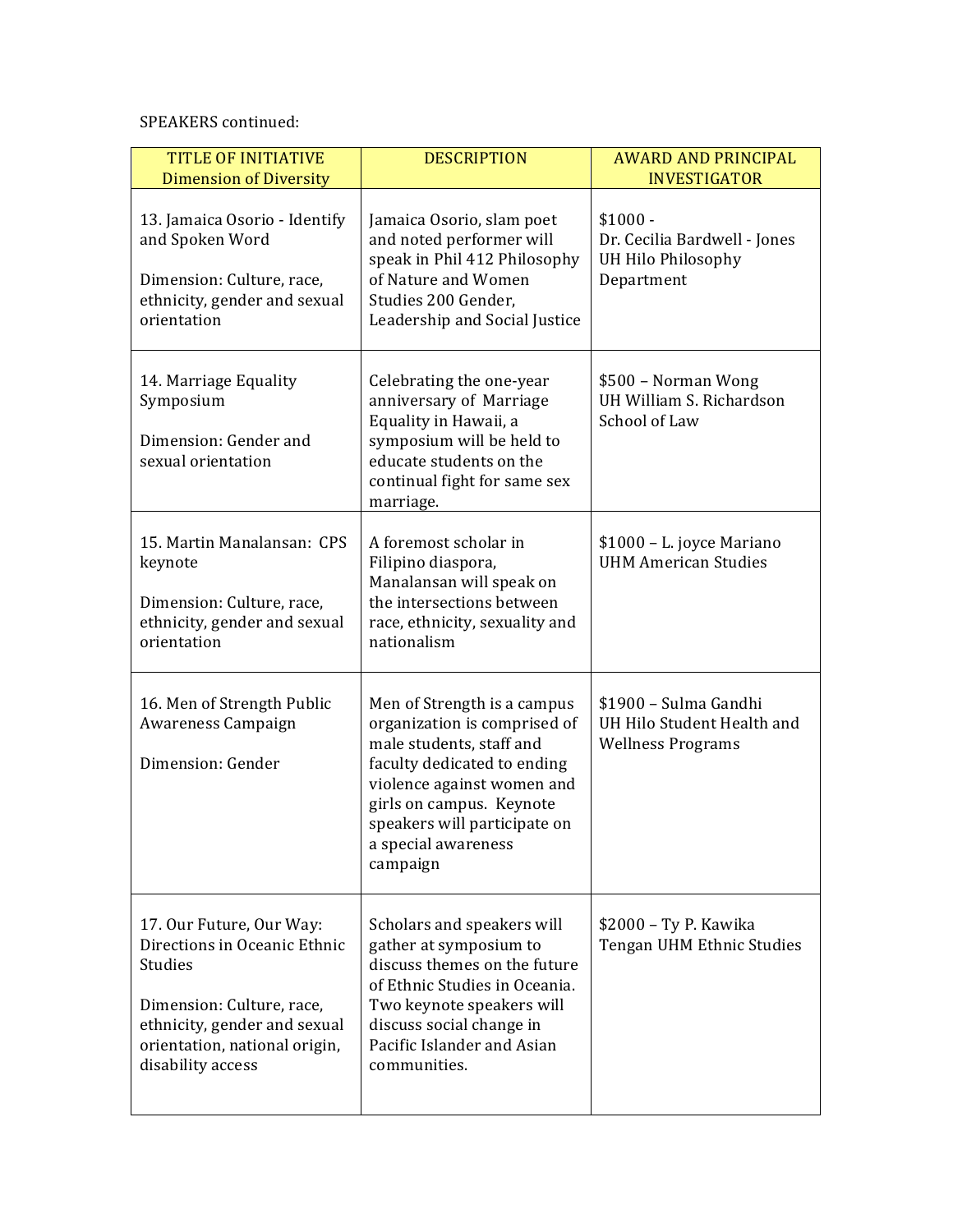| <b>TITLE OF INITIATIVE</b><br><b>Dimension of Diversity</b>                                                                                                                                   | <b>DESCRIPTION</b>                                                                                                                                                                                                                                  | <b>AWARD AND PRINCIPAL</b><br><b>INVESTIGATOR</b>                               |
|-----------------------------------------------------------------------------------------------------------------------------------------------------------------------------------------------|-----------------------------------------------------------------------------------------------------------------------------------------------------------------------------------------------------------------------------------------------------|---------------------------------------------------------------------------------|
| 13. Jamaica Osorio - Identify<br>and Spoken Word<br>Dimension: Culture, race,<br>ethnicity, gender and sexual<br>orientation                                                                  | Jamaica Osorio, slam poet<br>and noted performer will<br>speak in Phil 412 Philosophy<br>of Nature and Women<br>Studies 200 Gender.<br>Leadership and Social Justice                                                                                | $$1000 -$<br>Dr. Cecilia Bardwell - Jones<br>UH Hilo Philosophy<br>Department   |
| 14. Marriage Equality<br>Symposium<br>Dimension: Gender and<br>sexual orientation                                                                                                             | Celebrating the one-year<br>anniversary of Marriage<br>Equality in Hawaii, a<br>symposium will be held to<br>educate students on the<br>continual fight for same sex<br>marriage.                                                                   | \$500 - Norman Wong<br>UH William S. Richardson<br>School of Law                |
| 15. Martin Manalansan: CPS<br>keynote<br>Dimension: Culture, race,<br>ethnicity, gender and sexual<br>orientation                                                                             | A foremost scholar in<br>Filipino diaspora,<br>Manalansan will speak on<br>the intersections between<br>race, ethnicity, sexuality and<br>nationalism                                                                                               | \$1000 - L. joyce Mariano<br><b>UHM American Studies</b>                        |
| 16. Men of Strength Public<br>Awareness Campaign<br>Dimension: Gender                                                                                                                         | Men of Strength is a campus<br>organization is comprised of<br>male students, staff and<br>faculty dedicated to ending<br>violence against women and<br>girls on campus. Keynote<br>speakers will participate on<br>a special awareness<br>campaign | \$1900 - Sulma Gandhi<br>UH Hilo Student Health and<br><b>Wellness Programs</b> |
| 17. Our Future, Our Way:<br>Directions in Oceanic Ethnic<br><b>Studies</b><br>Dimension: Culture, race,<br>ethnicity, gender and sexual<br>orientation, national origin,<br>disability access | Scholars and speakers will<br>gather at symposium to<br>discuss themes on the future<br>of Ethnic Studies in Oceania.<br>Two keynote speakers will<br>discuss social change in<br>Pacific Islander and Asian<br>communities.                        | \$2000 - Ty P. Kawika<br>Tengan UHM Ethnic Studies                              |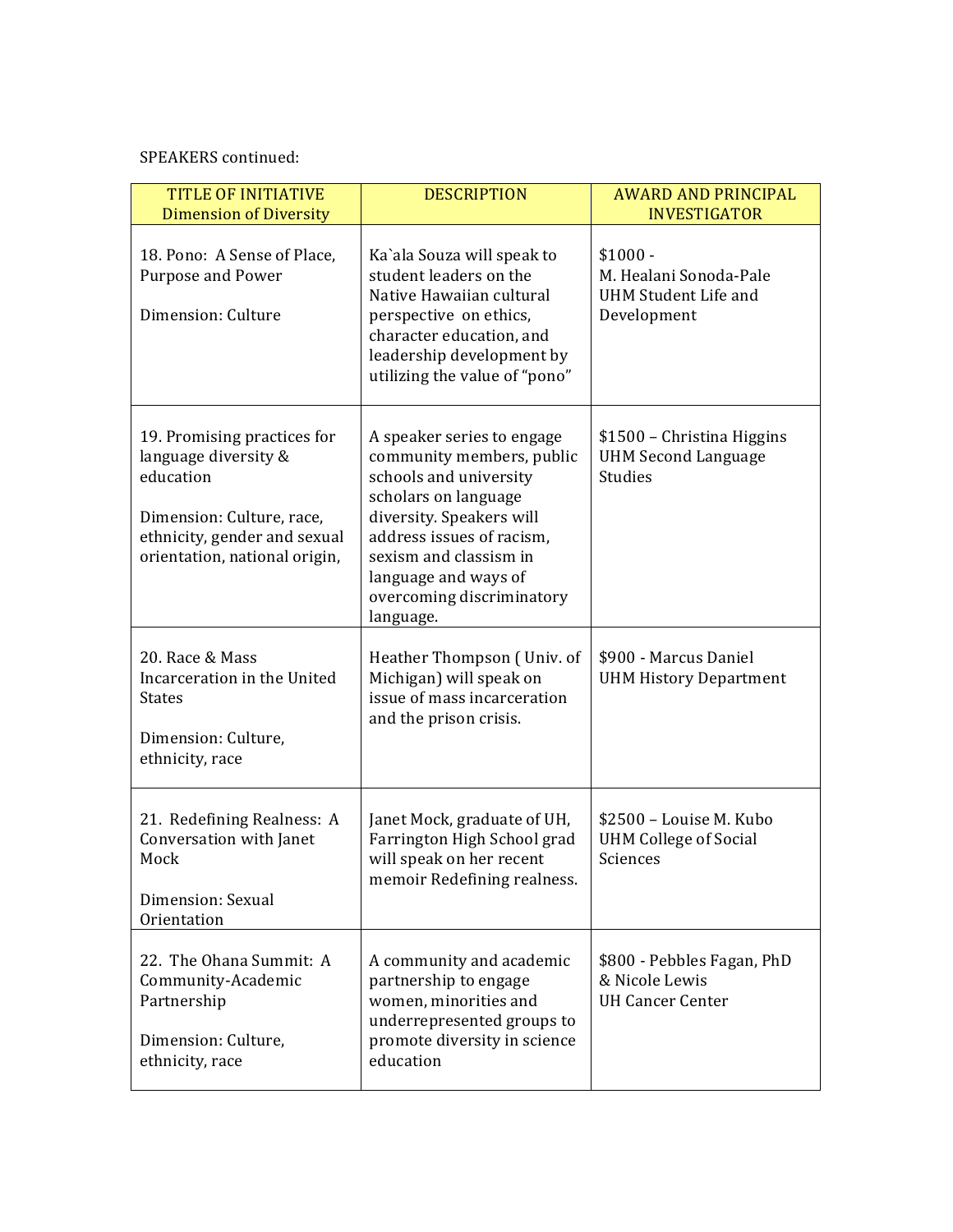| <b>TITLE OF INITIATIVE</b><br><b>Dimension of Diversity</b>                                                                                                    | <b>DESCRIPTION</b>                                                                                                                                                                                                                                             | <b>AWARD AND PRINCIPAL</b><br><b>INVESTIGATOR</b>                          |
|----------------------------------------------------------------------------------------------------------------------------------------------------------------|----------------------------------------------------------------------------------------------------------------------------------------------------------------------------------------------------------------------------------------------------------------|----------------------------------------------------------------------------|
| 18. Pono: A Sense of Place,<br>Purpose and Power<br>Dimension: Culture                                                                                         | Ka'ala Souza will speak to<br>student leaders on the<br>Native Hawaiian cultural<br>perspective on ethics,<br>character education, and<br>leadership development by<br>utilizing the value of "pono"                                                           | $$1000 -$<br>M. Healani Sonoda-Pale<br>UHM Student Life and<br>Development |
| 19. Promising practices for<br>language diversity &<br>education<br>Dimension: Culture, race,<br>ethnicity, gender and sexual<br>orientation, national origin, | A speaker series to engage<br>community members, public<br>schools and university<br>scholars on language<br>diversity. Speakers will<br>address issues of racism,<br>sexism and classism in<br>language and ways of<br>overcoming discriminatory<br>language. | \$1500 – Christina Higgins<br><b>UHM Second Language</b><br><b>Studies</b> |
| 20. Race & Mass<br>Incarceration in the United<br><b>States</b><br>Dimension: Culture,<br>ethnicity, race                                                      | Heather Thompson (Univ. of<br>Michigan) will speak on<br>issue of mass incarceration<br>and the prison crisis.                                                                                                                                                 | \$900 - Marcus Daniel<br><b>UHM History Department</b>                     |
| 21. Redefining Realness: A<br>Conversation with Janet<br>Mock<br>Dimension: Sexual<br>Orientation                                                              | Janet Mock, graduate of UH,<br>Farrington High School grad<br>will speak on her recent<br>memoir Redefining realness.                                                                                                                                          | \$2500 - Louise M. Kubo<br><b>UHM College of Social</b><br>Sciences        |
| 22. The Ohana Summit: A<br>Community-Academic<br>Partnership<br>Dimension: Culture,<br>ethnicity, race                                                         | A community and academic<br>partnership to engage<br>women, minorities and<br>underrepresented groups to<br>promote diversity in science<br>education                                                                                                          | \$800 - Pebbles Fagan, PhD<br>& Nicole Lewis<br><b>UH Cancer Center</b>    |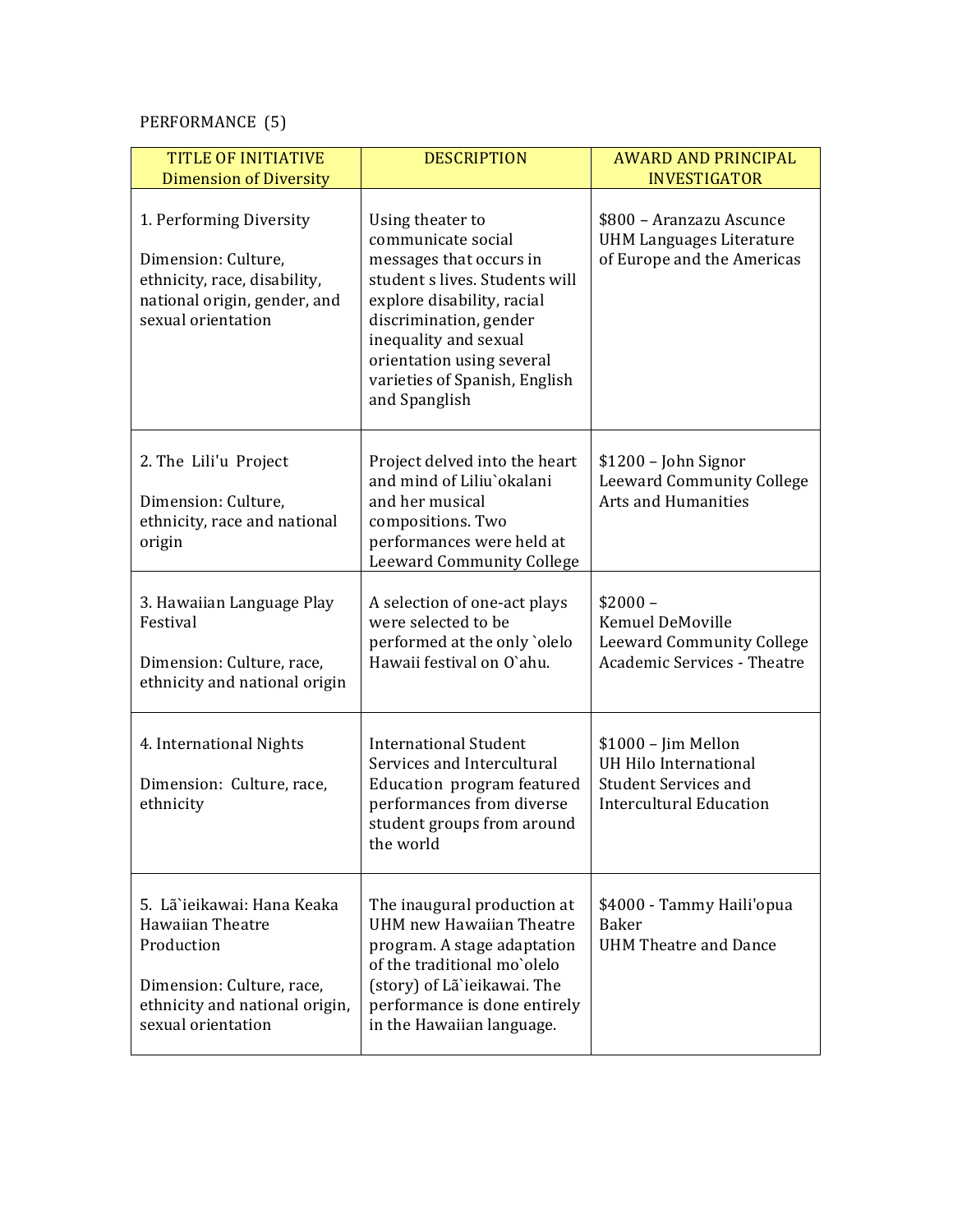# PERFORMANCE (5)

| <b>TITLE OF INITIATIVE</b><br><b>Dimension of Diversity</b>                                                                                       | <b>DESCRIPTION</b>                                                                                                                                                                                                                                                  | <b>AWARD AND PRINCIPAL</b><br><b>INVESTIGATOR</b>                                                              |
|---------------------------------------------------------------------------------------------------------------------------------------------------|---------------------------------------------------------------------------------------------------------------------------------------------------------------------------------------------------------------------------------------------------------------------|----------------------------------------------------------------------------------------------------------------|
| 1. Performing Diversity<br>Dimension: Culture,<br>ethnicity, race, disability,<br>national origin, gender, and<br>sexual orientation              | Using theater to<br>communicate social<br>messages that occurs in<br>student s lives. Students will<br>explore disability, racial<br>discrimination, gender<br>inequality and sexual<br>orientation using several<br>varieties of Spanish, English<br>and Spanglish | \$800 - Aranzazu Ascunce<br><b>UHM Languages Literature</b><br>of Europe and the Americas                      |
| 2. The Lili'u Project<br>Dimension: Culture,<br>ethnicity, race and national<br>origin                                                            | Project delved into the heart<br>and mind of Liliu'okalani<br>and her musical<br>compositions. Two<br>performances were held at<br><b>Leeward Community College</b>                                                                                                 | \$1200 - John Signor<br><b>Leeward Community College</b><br><b>Arts and Humanities</b>                         |
| 3. Hawaiian Language Play<br>Festival<br>Dimension: Culture, race,<br>ethnicity and national origin                                               | A selection of one-act plays<br>were selected to be<br>performed at the only 'olelo<br>Hawaii festival on O'ahu.                                                                                                                                                    | $$2000-$<br>Kemuel DeMoville<br>Leeward Community College<br><b>Academic Services - Theatre</b>                |
| 4. International Nights<br>Dimension: Culture, race,<br>ethnicity                                                                                 | <b>International Student</b><br>Services and Intercultural<br>Education program featured<br>performances from diverse<br>student groups from around<br>the world                                                                                                    | $$1000 - Jim$ Mellon<br>UH Hilo International<br><b>Student Services and</b><br><b>Intercultural Education</b> |
| 5. Lã`ieikawai: Hana Keaka<br>Hawaiian Theatre<br>Production<br>Dimension: Culture, race,<br>ethnicity and national origin,<br>sexual orientation | The inaugural production at<br><b>UHM</b> new Hawaiian Theatre<br>program. A stage adaptation<br>of the traditional mo'olelo<br>(story) of Lã`ieikawai. The<br>performance is done entirely<br>in the Hawaiian language.                                            | \$4000 - Tammy Haili'opua<br>Baker<br><b>UHM Theatre and Dance</b>                                             |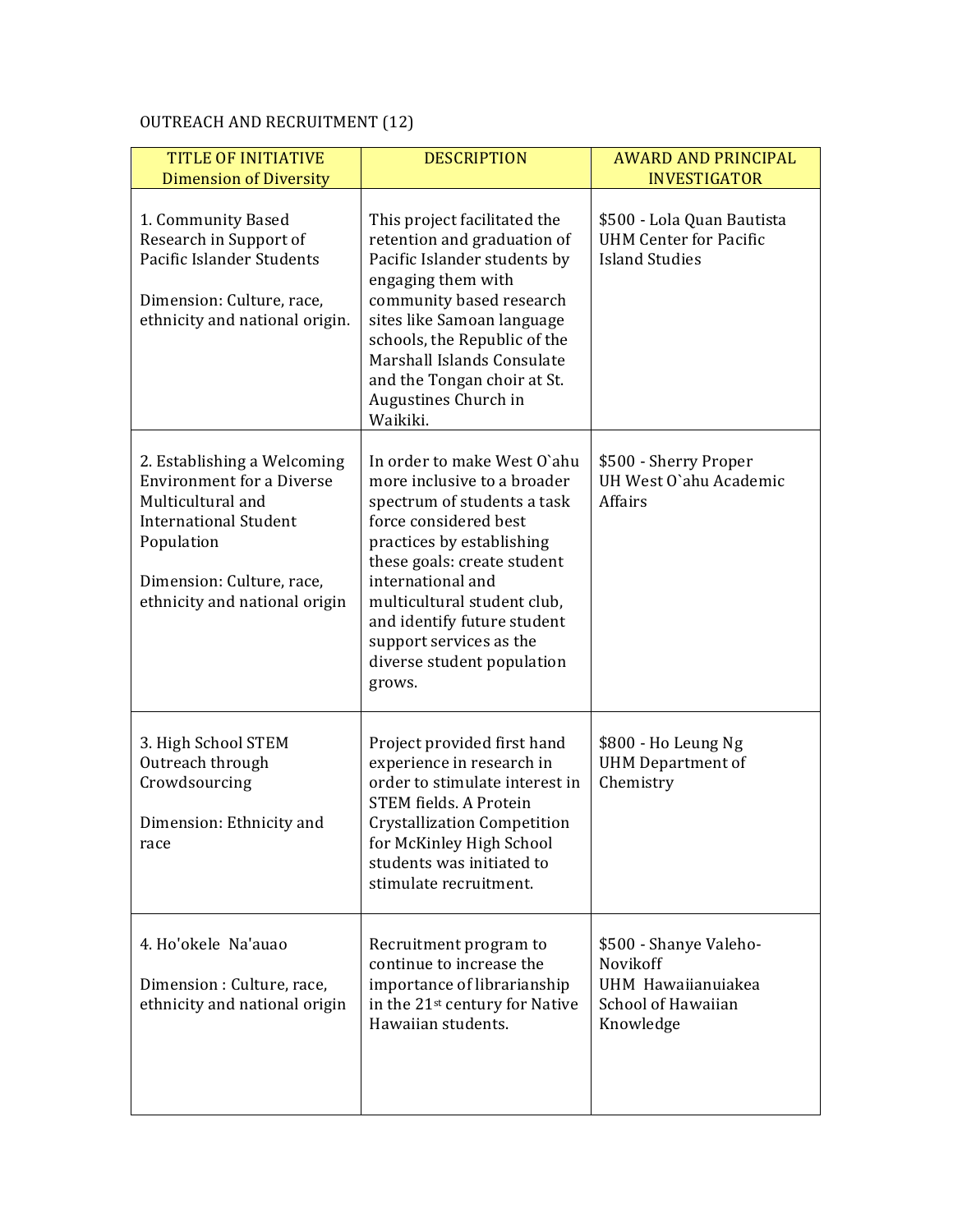# OUTREACH AND RECRUITMENT (12)

| <b>TITLE OF INITIATIVE</b><br><b>Dimension of Diversity</b>                                                                                                                                      | <b>DESCRIPTION</b>                                                                                                                                                                                                                                                                                                                   | <b>AWARD AND PRINCIPAL</b><br><b>INVESTIGATOR</b>                                           |
|--------------------------------------------------------------------------------------------------------------------------------------------------------------------------------------------------|--------------------------------------------------------------------------------------------------------------------------------------------------------------------------------------------------------------------------------------------------------------------------------------------------------------------------------------|---------------------------------------------------------------------------------------------|
| 1. Community Based<br>Research in Support of<br>Pacific Islander Students<br>Dimension: Culture, race,<br>ethnicity and national origin.                                                         | This project facilitated the<br>retention and graduation of<br>Pacific Islander students by<br>engaging them with<br>community based research<br>sites like Samoan language<br>schools, the Republic of the<br>Marshall Islands Consulate<br>and the Tongan choir at St.<br>Augustines Church in<br>Waikiki.                         | \$500 - Lola Quan Bautista<br><b>UHM Center for Pacific</b><br><b>Island Studies</b>        |
| 2. Establishing a Welcoming<br><b>Environment for a Diverse</b><br>Multicultural and<br><b>International Student</b><br>Population<br>Dimension: Culture, race,<br>ethnicity and national origin | In order to make West O'ahu<br>more inclusive to a broader<br>spectrum of students a task<br>force considered best<br>practices by establishing<br>these goals: create student<br>international and<br>multicultural student club,<br>and identify future student<br>support services as the<br>diverse student population<br>grows. | \$500 - Sherry Proper<br>UH West O'ahu Academic<br>Affairs                                  |
| 3. High School STEM<br>Outreach through<br>Crowdsourcing<br>Dimension: Ethnicity and<br>race                                                                                                     | Project provided first hand<br>experience in research in<br>order to stimulate interest in<br><b>STEM fields. A Protein</b><br><b>Crystallization Competition</b><br>for McKinley High School<br>students was initiated to<br>stimulate recruitment.                                                                                 | \$800 - Ho Leung Ng<br><b>UHM Department of</b><br>Chemistry                                |
| 4. Ho'okele Na'auao<br>Dimension : Culture, race,<br>ethnicity and national origin                                                                                                               | Recruitment program to<br>continue to increase the<br>importance of librarianship<br>in the 21 <sup>st</sup> century for Native<br>Hawaiian students.                                                                                                                                                                                | \$500 - Shanye Valeho-<br>Novikoff<br>UHM Hawaiianuiakea<br>School of Hawaiian<br>Knowledge |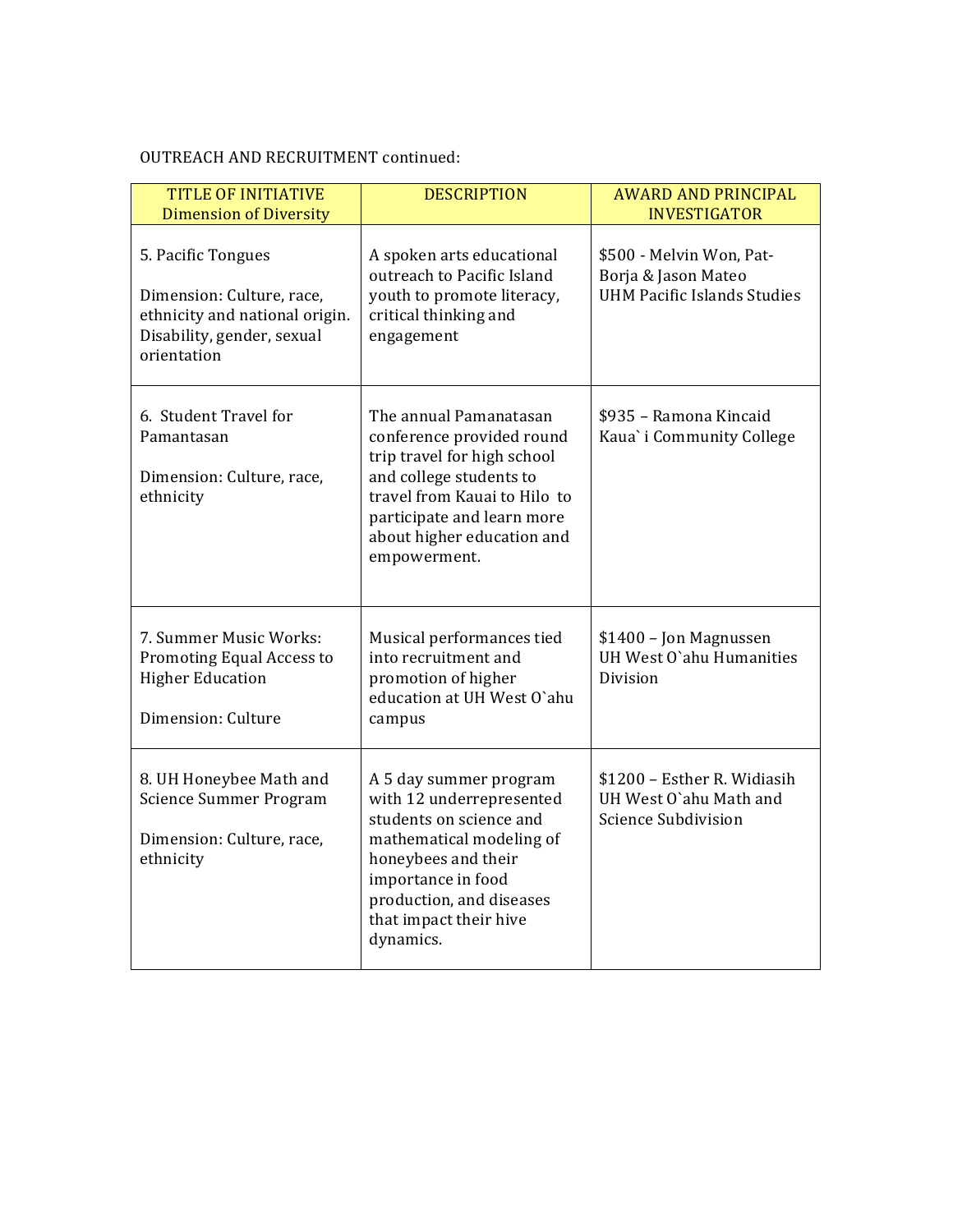# OUTREACH AND RECRUITMENT continued:

| <b>TITLE OF INITIATIVE</b><br><b>Dimension of Diversity</b>                                                                    | <b>DESCRIPTION</b>                                                                                                                                                                                                        | <b>AWARD AND PRINCIPAL</b><br><b>INVESTIGATOR</b>                                     |
|--------------------------------------------------------------------------------------------------------------------------------|---------------------------------------------------------------------------------------------------------------------------------------------------------------------------------------------------------------------------|---------------------------------------------------------------------------------------|
| 5. Pacific Tongues<br>Dimension: Culture, race,<br>ethnicity and national origin.<br>Disability, gender, sexual<br>orientation | A spoken arts educational<br>outreach to Pacific Island<br>youth to promote literacy,<br>critical thinking and<br>engagement                                                                                              | \$500 - Melvin Won, Pat-<br>Borja & Jason Mateo<br><b>UHM Pacific Islands Studies</b> |
| 6. Student Travel for<br>Pamantasan<br>Dimension: Culture, race,<br>ethnicity                                                  | The annual Pamanatasan<br>conference provided round<br>trip travel for high school<br>and college students to<br>travel from Kauai to Hilo to<br>participate and learn more<br>about higher education and<br>empowerment. | \$935 - Ramona Kincaid<br>Kaua' i Community College                                   |
| 7. Summer Music Works:<br>Promoting Equal Access to<br><b>Higher Education</b><br>Dimension: Culture                           | Musical performances tied<br>into recruitment and<br>promotion of higher<br>education at UH West O'ahu<br>campus                                                                                                          | \$1400 - Jon Magnussen<br>UH West O'ahu Humanities<br>Division                        |
| 8. UH Honeybee Math and<br>Science Summer Program<br>Dimension: Culture, race,<br>ethnicity                                    | A 5 day summer program<br>with 12 underrepresented<br>students on science and<br>mathematical modeling of<br>honeybees and their<br>importance in food<br>production, and diseases<br>that impact their hive<br>dynamics. | \$1200 - Esther R. Widiasih<br>UH West O'ahu Math and<br>Science Subdivision          |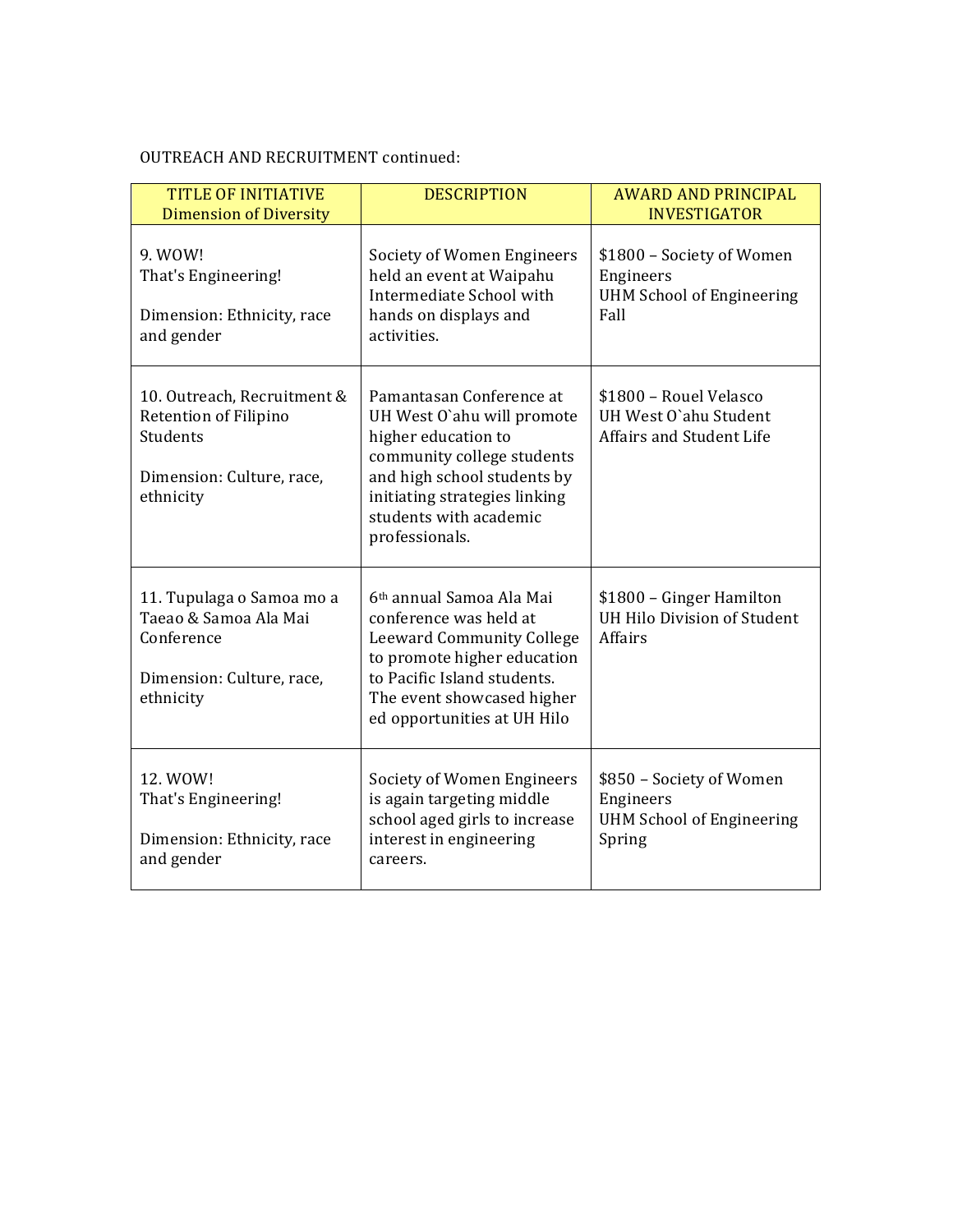# OUTREACH AND RECRUITMENT continued:

| <b>TITLE OF INITIATIVE</b><br><b>Dimension of Diversity</b>                                                | <b>DESCRIPTION</b>                                                                                                                                                                                                      | <b>AWARD AND PRINCIPAL</b><br><b>INVESTIGATOR</b>                                   |
|------------------------------------------------------------------------------------------------------------|-------------------------------------------------------------------------------------------------------------------------------------------------------------------------------------------------------------------------|-------------------------------------------------------------------------------------|
| 9. WOW!<br>That's Engineering!<br>Dimension: Ethnicity, race<br>and gender                                 | Society of Women Engineers<br>held an event at Waipahu<br>Intermediate School with<br>hands on displays and<br>activities.                                                                                              | \$1800 - Society of Women<br>Engineers<br><b>UHM School of Engineering</b><br>Fall  |
| 10. Outreach, Recruitment &<br>Retention of Filipino<br>Students<br>Dimension: Culture, race,<br>ethnicity | Pamantasan Conference at<br>UH West O'ahu will promote<br>higher education to<br>community college students<br>and high school students by<br>initiating strategies linking<br>students with academic<br>professionals. | \$1800 - Rouel Velasco<br>UH West O'ahu Student<br><b>Affairs and Student Life</b>  |
| 11. Tupulaga o Samoa mo a<br>Taeao & Samoa Ala Mai<br>Conference<br>Dimension: Culture, race,<br>ethnicity | 6 <sup>th</sup> annual Samoa Ala Mai<br>conference was held at<br>Leeward Community College<br>to promote higher education<br>to Pacific Island students.<br>The event showcased higher<br>ed opportunities at UH Hilo  | \$1800 - Ginger Hamilton<br>UH Hilo Division of Student<br><b>Affairs</b>           |
| 12. WOW!<br>That's Engineering!<br>Dimension: Ethnicity, race<br>and gender                                | Society of Women Engineers<br>is again targeting middle<br>school aged girls to increase<br>interest in engineering<br>careers.                                                                                         | \$850 - Society of Women<br>Engineers<br><b>UHM School of Engineering</b><br>Spring |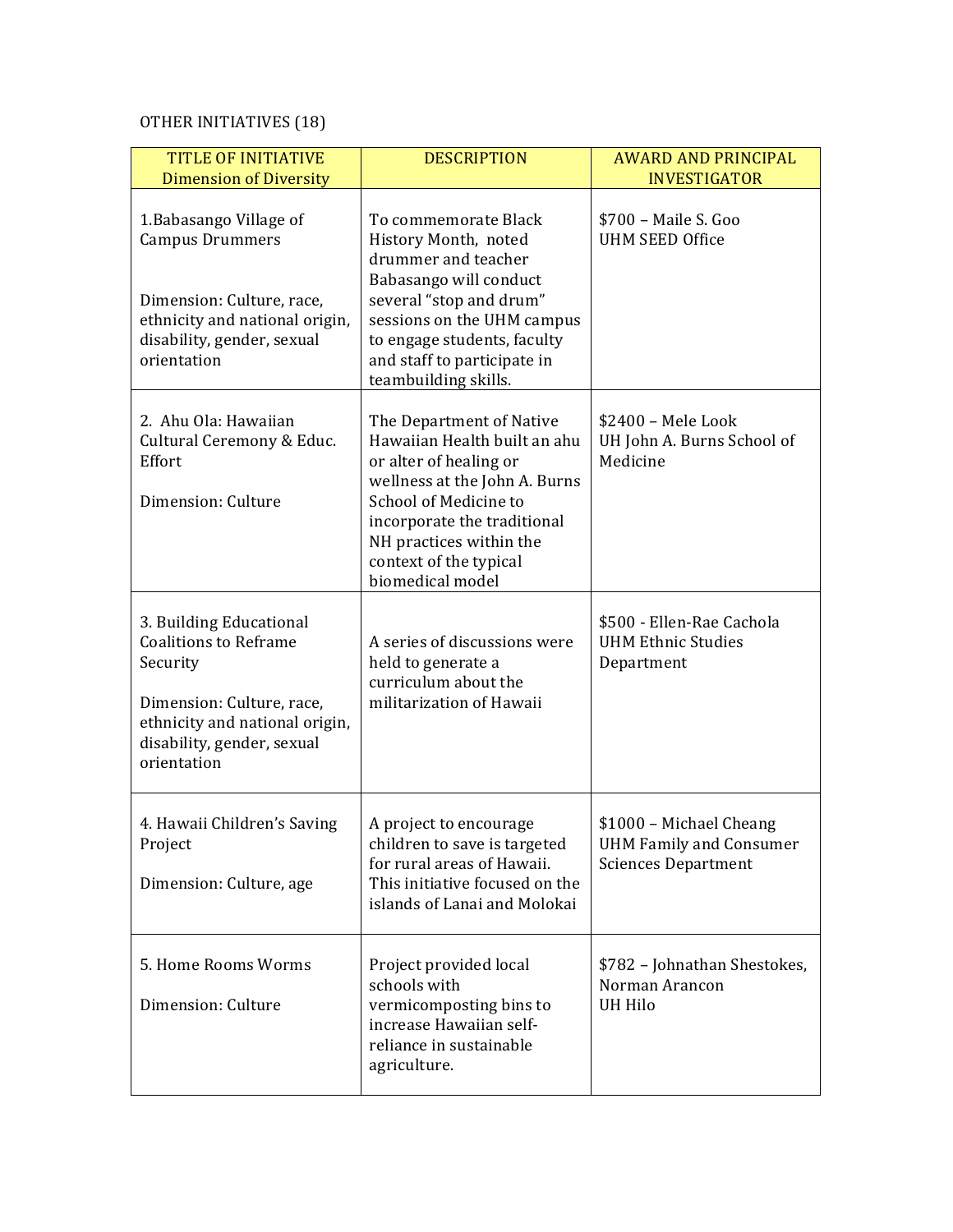# OTHER INITIATIVES (18)

| <b>TITLE OF INITIATIVE</b><br><b>Dimension of Diversity</b>                                                                                                                     | <b>DESCRIPTION</b>                                                                                                                                                                                                                                   | <b>AWARD AND PRINCIPAL</b><br><b>INVESTIGATOR</b>                                       |
|---------------------------------------------------------------------------------------------------------------------------------------------------------------------------------|------------------------------------------------------------------------------------------------------------------------------------------------------------------------------------------------------------------------------------------------------|-----------------------------------------------------------------------------------------|
| 1. Babasango Village of<br><b>Campus Drummers</b><br>Dimension: Culture, race,<br>ethnicity and national origin,<br>disability, gender, sexual<br>orientation                   | To commemorate Black<br>History Month, noted<br>drummer and teacher<br>Babasango will conduct<br>several "stop and drum"<br>sessions on the UHM campus<br>to engage students, faculty<br>and staff to participate in<br>teambuilding skills.         | \$700 - Maile S. Goo<br><b>UHM SEED Office</b>                                          |
| 2. Ahu Ola: Hawaiian<br>Cultural Ceremony & Educ.<br>Effort<br>Dimension: Culture                                                                                               | The Department of Native<br>Hawaiian Health built an ahu<br>or alter of healing or<br>wellness at the John A. Burns<br>School of Medicine to<br>incorporate the traditional<br>NH practices within the<br>context of the typical<br>biomedical model | \$2400 - Mele Look<br>UH John A. Burns School of<br>Medicine                            |
| 3. Building Educational<br><b>Coalitions to Reframe</b><br>Security<br>Dimension: Culture, race,<br>ethnicity and national origin,<br>disability, gender, sexual<br>orientation | A series of discussions were<br>held to generate a<br>curriculum about the<br>militarization of Hawaii                                                                                                                                               | \$500 - Ellen-Rae Cachola<br><b>UHM Ethnic Studies</b><br>Department                    |
| 4. Hawaii Children's Saving<br>Project<br>Dimension: Culture, age                                                                                                               | A project to encourage<br>children to save is targeted<br>for rural areas of Hawaii.<br>This initiative focused on the<br>islands of Lanai and Molokai                                                                                               | \$1000 - Michael Cheang<br><b>UHM Family and Consumer</b><br><b>Sciences Department</b> |
| 5. Home Rooms Worms<br>Dimension: Culture                                                                                                                                       | Project provided local<br>schools with<br>vermicomposting bins to<br>increase Hawaiian self-<br>reliance in sustainable<br>agriculture.                                                                                                              | \$782 - Johnathan Shestokes,<br>Norman Arancon<br><b>UH Hilo</b>                        |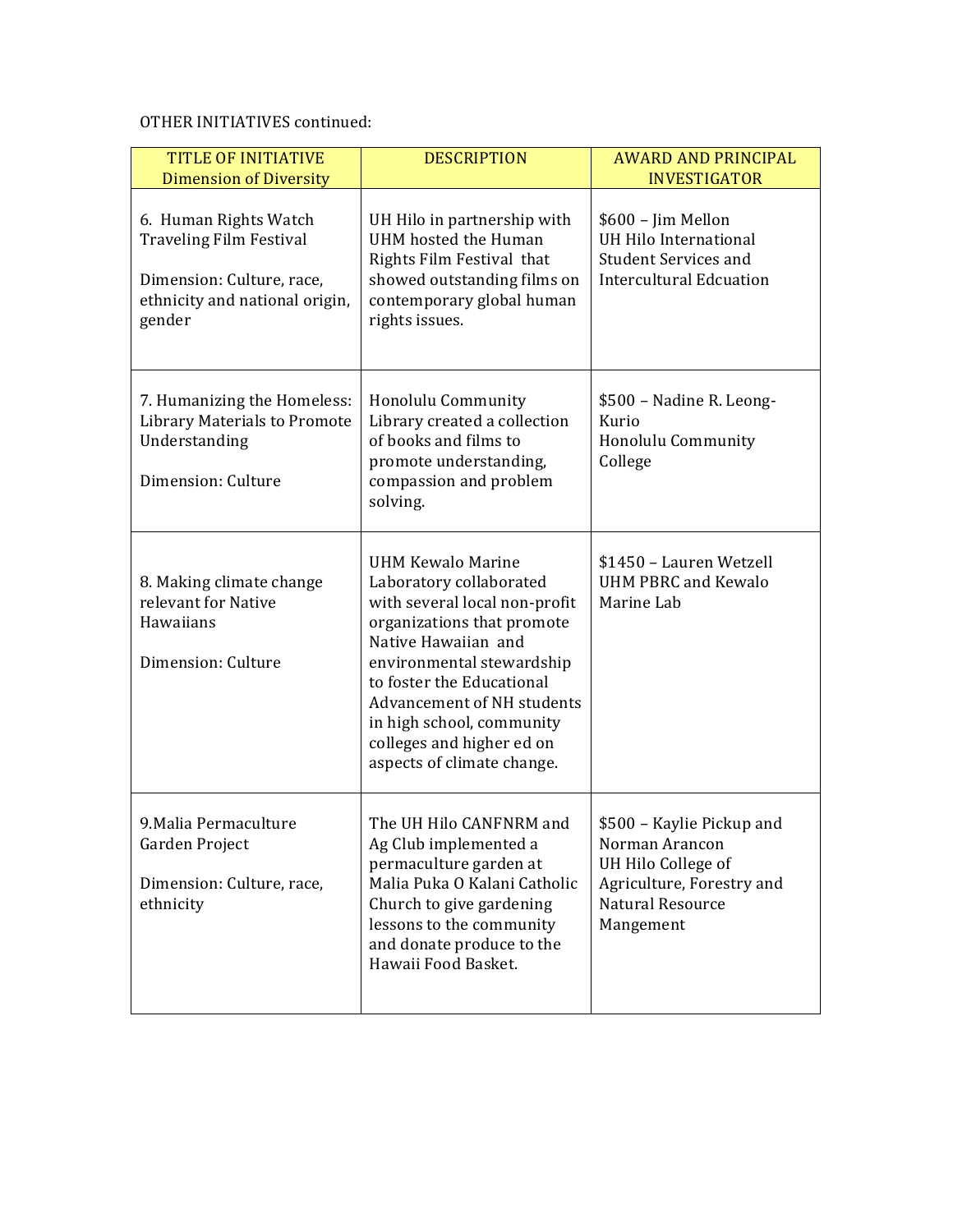## OTHER INITIATIVES continued:

| <b>TITLE OF INITIATIVE</b><br><b>Dimension of Diversity</b>                                                                      | <b>DESCRIPTION</b>                                                                                                                                                                                                                                                                                                               | <b>AWARD AND PRINCIPAL</b><br><b>INVESTIGATOR</b>                                                                               |
|----------------------------------------------------------------------------------------------------------------------------------|----------------------------------------------------------------------------------------------------------------------------------------------------------------------------------------------------------------------------------------------------------------------------------------------------------------------------------|---------------------------------------------------------------------------------------------------------------------------------|
| 6. Human Rights Watch<br><b>Traveling Film Festival</b><br>Dimension: Culture, race,<br>ethnicity and national origin,<br>gender | UH Hilo in partnership with<br>UHM hosted the Human<br>Rights Film Festival that<br>showed outstanding films on<br>contemporary global human<br>rights issues.                                                                                                                                                                   | \$600 - Jim Mellon<br>UH Hilo International<br><b>Student Services and</b><br><b>Intercultural Edcuation</b>                    |
| 7. Humanizing the Homeless:<br><b>Library Materials to Promote</b><br>Understanding<br>Dimension: Culture                        | Honolulu Community<br>Library created a collection<br>of books and films to<br>promote understanding,<br>compassion and problem<br>solving.                                                                                                                                                                                      | \$500 - Nadine R. Leong-<br>Kurio<br>Honolulu Community<br>College                                                              |
| 8. Making climate change<br>relevant for Native<br>Hawaiians<br>Dimension: Culture                                               | <b>UHM Kewalo Marine</b><br>Laboratory collaborated<br>with several local non-profit<br>organizations that promote<br>Native Hawaiian and<br>environmental stewardship<br>to foster the Educational<br><b>Advancement of NH students</b><br>in high school, community<br>colleges and higher ed on<br>aspects of climate change. | \$1450 - Lauren Wetzell<br><b>UHM PBRC and Kewalo</b><br>Marine Lab                                                             |
| 9. Malia Permaculture<br>Garden Project<br>Dimension: Culture, race,<br>ethnicity                                                | The UH Hilo CANFNRM and<br>Ag Club implemented a<br>permaculture garden at<br>Malia Puka O Kalani Catholic<br>Church to give gardening<br>lessons to the community<br>and donate produce to the<br>Hawaii Food Basket.                                                                                                           | \$500 - Kaylie Pickup and<br>Norman Arancon<br>UH Hilo College of<br>Agriculture, Forestry and<br>Natural Resource<br>Mangement |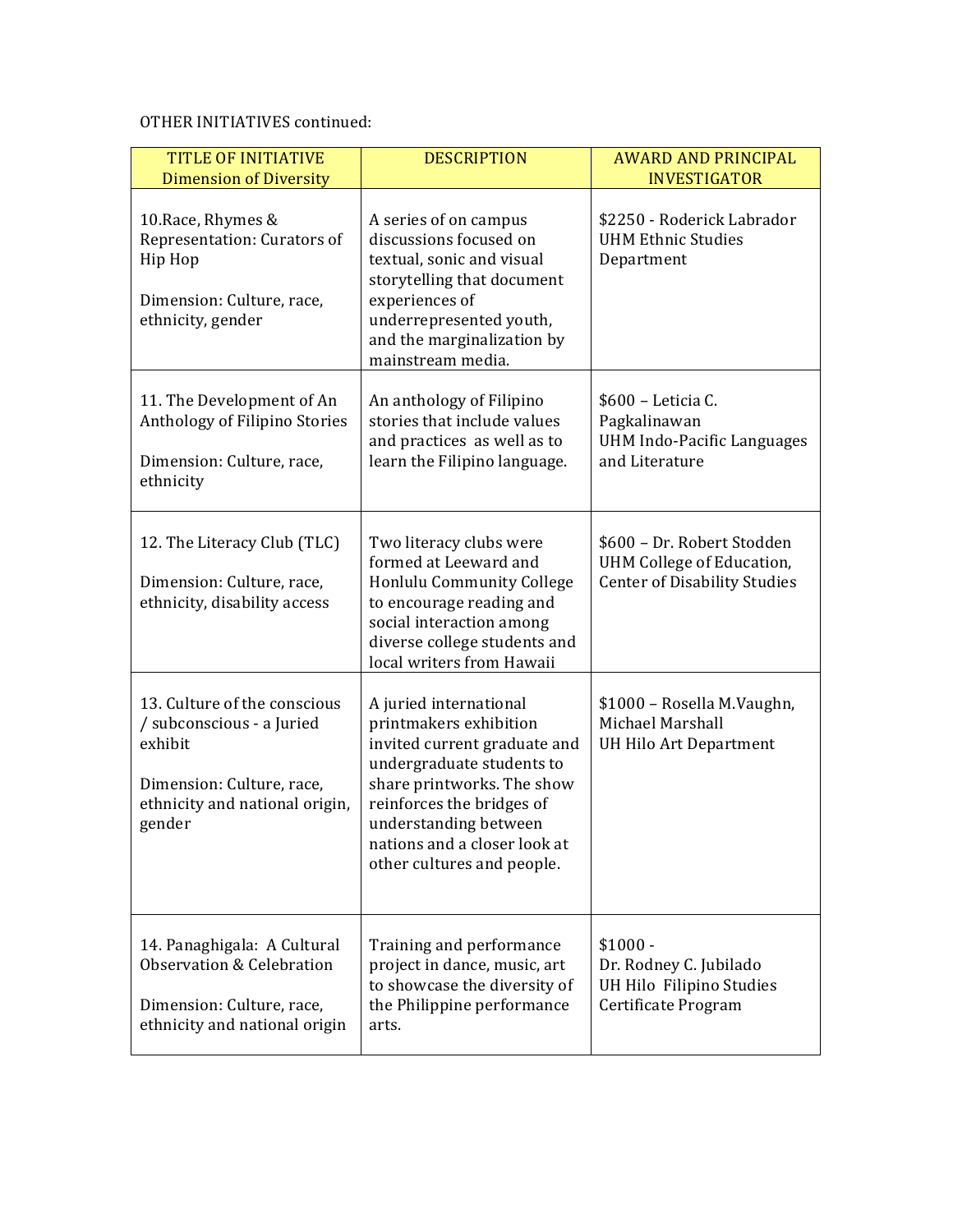## OTHER INITIATIVES continued:

| <b>TITLE OF INITIATIVE</b><br><b>Dimension of Diversity</b>                                                                                   | <b>DESCRIPTION</b>                                                                                                                                                                                                                                              | <b>AWARD AND PRINCIPAL</b><br><b>INVESTIGATOR</b>                                              |
|-----------------------------------------------------------------------------------------------------------------------------------------------|-----------------------------------------------------------------------------------------------------------------------------------------------------------------------------------------------------------------------------------------------------------------|------------------------------------------------------------------------------------------------|
| 10. Race, Rhymes &<br>Representation: Curators of<br>Hip Hop<br>Dimension: Culture, race,<br>ethnicity, gender                                | A series of on campus<br>discussions focused on<br>textual, sonic and visual<br>storytelling that document<br>experiences of<br>underrepresented youth,<br>and the marginalization by<br>mainstream media.                                                      | \$2250 - Roderick Labrador<br><b>UHM Ethnic Studies</b><br>Department                          |
| 11. The Development of An<br>Anthology of Filipino Stories<br>Dimension: Culture, race,<br>ethnicity                                          | An anthology of Filipino<br>stories that include values<br>and practices as well as to<br>learn the Filipino language.                                                                                                                                          | \$600 - Leticia C.<br>Pagkalinawan<br><b>UHM Indo-Pacific Languages</b><br>and Literature      |
| 12. The Literacy Club (TLC)<br>Dimension: Culture, race,<br>ethnicity, disability access                                                      | Two literacy clubs were<br>formed at Leeward and<br>Honlulu Community College<br>to encourage reading and<br>social interaction among<br>diverse college students and<br>local writers from Hawaii                                                              | \$600 - Dr. Robert Stodden<br>UHM College of Education,<br><b>Center of Disability Studies</b> |
| 13. Culture of the conscious<br>/ subconscious - a Juried<br>exhibit<br>Dimension: Culture, race,<br>ethnicity and national origin,<br>gender | A juried international<br>printmakers exhibition<br>invited current graduate and<br>undergraduate students to<br>share printworks. The show<br>reinforces the bridges of<br>understanding between<br>nations and a closer look at<br>other cultures and people. | \$1000 - Rosella M.Vaughn,<br>Michael Marshall<br>UH Hilo Art Department                       |
| 14. Panaghigala: A Cultural<br>Observation & Celebration<br>Dimension: Culture, race,<br>ethnicity and national origin                        | Training and performance<br>project in dance, music, art<br>to showcase the diversity of<br>the Philippine performance<br>arts.                                                                                                                                 | $$1000 -$<br>Dr. Rodney C. Jubilado<br>UH Hilo Filipino Studies<br>Certificate Program         |